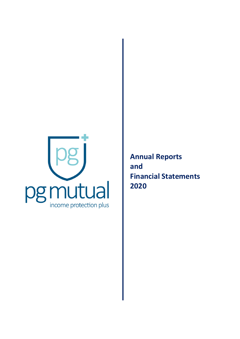

**Annual Reports and Financial Statements 2020**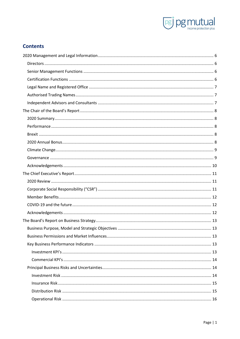

# **Contents**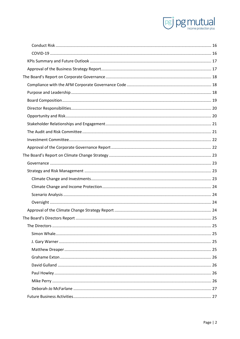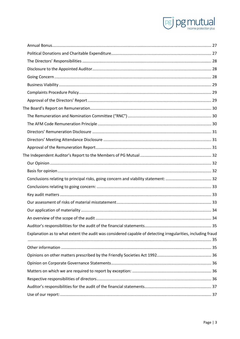

| Explanation as to what extent the audit was considered capable of detecting irregularities, including fraud |  |
|-------------------------------------------------------------------------------------------------------------|--|
|                                                                                                             |  |
|                                                                                                             |  |
|                                                                                                             |  |
|                                                                                                             |  |
|                                                                                                             |  |
|                                                                                                             |  |
|                                                                                                             |  |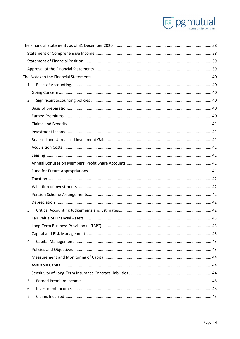

|    | 1. |  |
|----|----|--|
|    |    |  |
|    | 2. |  |
|    |    |  |
|    |    |  |
|    |    |  |
|    |    |  |
|    |    |  |
|    |    |  |
|    |    |  |
|    |    |  |
|    |    |  |
|    |    |  |
|    |    |  |
|    |    |  |
|    |    |  |
|    | 3. |  |
|    |    |  |
|    |    |  |
|    |    |  |
|    | 4. |  |
|    |    |  |
|    |    |  |
|    |    |  |
|    |    |  |
|    | 5. |  |
| 6. |    |  |
|    | 7. |  |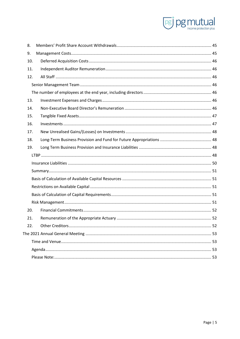

| 8.  |  |
|-----|--|
| 9.  |  |
| 10. |  |
| 11. |  |
| 12. |  |
|     |  |
|     |  |
| 13. |  |
| 14. |  |
| 15. |  |
| 16. |  |
| 17. |  |
| 18. |  |
|     |  |
| 19. |  |
|     |  |
|     |  |
|     |  |
|     |  |
|     |  |
|     |  |
|     |  |
| 20. |  |
| 21. |  |
| 22. |  |
|     |  |
|     |  |
|     |  |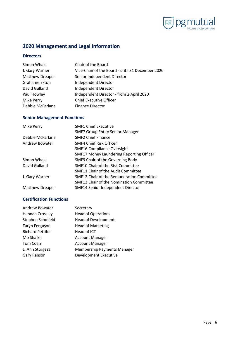

# <span id="page-6-0"></span>**2020 Management and Legal Information**

# <span id="page-6-1"></span>**Directors**

| Simon Whale            | Chair of the Board                               |
|------------------------|--------------------------------------------------|
| J. Gary Warner         | Vice-Chair of the Board - until 31 December 2020 |
| <b>Matthew Dreaper</b> | Senior Independent Director                      |
| Grahame Exton          | Independent Director                             |
| David Gulland          | Independent Director                             |
| Paul Howley            | Independent Director - from 2 April 2020         |
| Mike Perry             | <b>Chief Executive Officer</b>                   |
| Debbie McFarlane       | <b>Finance Director</b>                          |

# <span id="page-6-2"></span>**Senior Management Functions**

| Mike Perry             | <b>SMF1 Chief Executive</b>                     |
|------------------------|-------------------------------------------------|
|                        | <b>SMF7 Group Entity Senior Manager</b>         |
| Debbie McFarlane       | <b>SMF2 Chief Finance</b>                       |
| Andrew Bowater         | SMF4 Chief Risk Officer                         |
|                        | <b>SMF16 Compliance Oversight</b>               |
|                        | <b>SMF17 Money Laundering Reporting Officer</b> |
| Simon Whale            | SMF9 Chair of the Governing Body                |
| David Gulland          | SMF10 Chair of the Risk Committee               |
|                        | SMF11 Chair of the Audit Committee              |
| J. Gary Warner         | SMF12 Chair of the Remuneration Committee       |
|                        | SMF13 Chair of the Nomination Committee         |
| <b>Matthew Dreaper</b> | <b>SMF14 Senior Independent Director</b>        |

# <span id="page-6-3"></span>**Certification Functions**

| <b>Andrew Bowater</b>   | Secretary                          |
|-------------------------|------------------------------------|
| Hannah Crossley         | <b>Head of Operations</b>          |
| Stephen Schofield       | <b>Head of Development</b>         |
| <b>Taryn Ferguson</b>   | <b>Head of Marketing</b>           |
| <b>Richard Pettifer</b> | Head of ICT                        |
| Mo Shaikh               | <b>Account Manager</b>             |
| Tom Coan                | <b>Account Manager</b>             |
| L. Ann Sturgess         | <b>Membership Payments Manager</b> |
| Gary Ranson             | Development Executive              |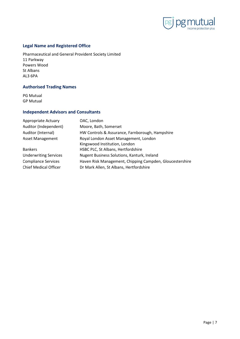

## <span id="page-7-0"></span>**Legal Name and Registered Office**

Pharmaceutical and General Provident Society Limited 11 Parkway Powers Wood St Albans AL3 6PA

# <span id="page-7-1"></span>**Authorised Trading Names**

PG Mutual GP Mutual

## <span id="page-7-2"></span>**Independent Advisors and Consultants**

Appropriate Actuary OAC, London Auditor (Independent) Moore, Bath, Somerset Auditor (Internal) HW Controls & Assurance, Farnborough, Hampshire Asset Management Royal London Asset Management, London Kingswood Institution, London Bankers **HSBC PLC, St Albans, Hertfordshire** Underwriting Services Nugent Business Solutions, Kanturk, Ireland Compliance Services Haven Risk Management, Chipping Campden, Gloucestershire Chief Medical Officer Dr Mark Allen, St Albans, Hertfordshire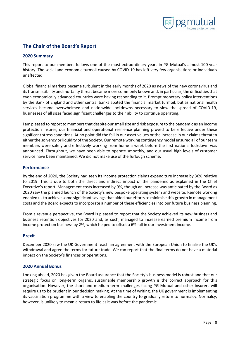

# <span id="page-8-0"></span>**The Chair of the Board's Report**

# <span id="page-8-1"></span>**2020 Summary**

This report to our members follows one of the most extraordinary years in PG Mutual's almost 100-year history. The social and economic turmoil caused by COVID-19 has left very few organisations or individuals unaffected.

Global financial markets became turbulent in the early months of 2020 as news of the new coronavirus and its transmissibility and mortality threat became more commonly known and, in particular, the difficulties that even economically advanced countries were having responding to it. Prompt monetary policy interventions by the Bank of England and other central banks abated the financial market turmoil, but as national health services became overwhelmed and nationwide lockdowns necessary to slow the spread of COVID-19, businesses of all sizes faced significant challenges to their ability to continue operating.

I am pleased to report to members that despite our small size and risk exposure to the pandemic as an income protection insurer, our financial and operational resilience planning proved to be effective under these significant stress conditions. At no point did the fall in our asset values or the increase in our claims threaten either the solvency or liquidity of the Society. Our remote working contingency model ensured all of our team members were safely and effectively working from home a week before the first national lockdown was announced. Throughout, we have been able to operate smoothly, and our usual high levels of customer service have been maintained. We did not make use of the furlough scheme.

## <span id="page-8-2"></span>**Performance**

By the end of 2020, the Society had seen its income protection claims expenditure increase by 36% relative to 2019. This is due to both the direct and indirect impact of the pandemic as explained in the Chief Executive's report. Management costs increased by 9%, though an increase was anticipated by the Board as 2020 saw the planned launch of the Society's new bespoke operating system and website. Remote working enabled us to achieve some significant savings that aided our efforts to minimise this growth in management costs and the Board expects to incorporate a number of these efficiencies into our future business planning.

From a revenue perspective, the Board is pleased to report that the Society achieved its new business and business retention objectives for 2020 and, as such, managed to increase earned premium income from income protection business by 2%, which helped to offset a 6% fall in our investment income.

## <span id="page-8-3"></span>**Brexit**

December 2020 saw the UK Government reach an agreement with the European Union to finalise the UK's withdrawal and agree the terms for future trade. We can report that the final terms do not have a material impact on the Society's finances or operations.

## <span id="page-8-4"></span>**2020 Annual Bonus**

Looking ahead, 2020 has given the Board assurance that the Society's business model is robust and that our strategic focus on long-term organic, sustainable membership growth is the correct approach for this organisation. However, the short and medium-term challenges facing PG Mutual and other insurers will require us to be prudent in our decision making. At the time of writing, the UK government is implementing its vaccination programme with a view to enabling the country to gradually return to normalcy. Normalcy, however, is unlikely to mean a return to life as it was before the pandemic.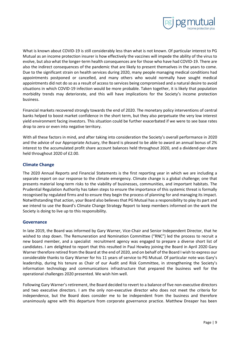

What is known about COVID-19 is still considerably less than what is not known. Of particular interest to PG Mutual as an income protection insurer is how effectively the vaccines will impede the ability of the virus to evolve, but also what the longer-term health consequences are for those who have had COVID-19. There are also the indirect consequences of the pandemic that are likely to present themselves in the years to come. Due to the significant strain on health services during 2020, many people managing medical conditions had appointments postponed or cancelled, and many others who would normally have sought medical appointments did not do so as a result of access to services being compromised and a natural desire to avoid situations in which COVID-19 infection would be more probable. Taken together, it is likely that population morbidity trends may deteriorate, and this will have implications for the Society's income protection business.

Financial markets recovered strongly towards the end of 2020. The monetary policy interventions of central banks helped to boost market confidence in the short term, but they also perpetuate the very low interest yield environment facing investors. This situation could be further exacerbated if we were to see base rates drop to zero or even into negative territory.

With all these factors in mind, and after taking into consideration the Society's overall performance in 2020 and the advice of our Appropriate Actuary, the Board is pleased to be able to award an annual bonus of 2% interest to the accumulated profit share account balances held throughout 2020, and a dividend-per-share held throughout 2020 of £2.00.

# <span id="page-9-0"></span>**Climate Change**

The 2020 Annual Reports and Financial Statements is the first reporting year in which we are including a separate report on our response to the climate emergency. Climate change is a global challenge; one that presents material long-term risks to the viability of businesses, communities, and important habitats. The Prudential Regulation Authority has taken steps to ensure the importance of this systemic threat is formally recognised by regulated firms and to ensure they begin the process of planning for and managing its impact. Notwithstanding that action, your Board also believes that PG Mutual has a responsibility to play its part and we intend to use the Board's Climate Change Strategy Report to keep members informed on the work the Society is doing to live up to this responsibility.

## <span id="page-9-1"></span>**Governance**

In late 2019, the Board was informed by Gary Warner, Vice-Chair and Senior Independent Director, that he wished to step down. The Remuneration and Nomination Committee ("RNC") led the process to recruit a new board member, and a specialist recruitment agency was engaged to prepare a diverse short list of candidates. I am delighted to report that this resulted in Paul Howley joining the Board in April 2020 Gary Warner therefore retired from the Board at the end of 2020, and on behalf of the Board I wish to express our considerable thanks to Gary Warner for his 11 years of service to PG Mutual. Of particular note was Gary's leadership, during his tenure as Chair of our Audit and Risk Committee, in strengthening the Society's information technology and communications infrastructure that prepared the business well for the operational challenges 2020 presented. We wish him well.

Following Gary Warner's retirement, the Board decided to revert to a balance of five non-executive directors and two executive directors. I am the only non-executive director who does not meet the criteria for independence, but the Board does consider me to be independent from the business and therefore unanimously agree with this departure from corporate governance practice. Matthew Dreaper has been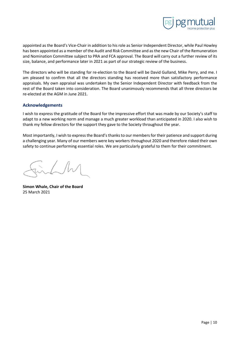

appointed as the Board's Vice-Chair in addition to his role as Senior Independent Director, while Paul Howley has been appointed as a member of the Audit and Risk Committee and as the new Chair of the Remuneration and Nomination Committee subject to PRA and FCA approval. The Board will carry out a further review of its size, balance, and performance later in 2021 as part of our strategic review of the business.

The directors who will be standing for re-election to the Board will be David Gulland, Mike Perry, and me. I am pleased to confirm that all the directors standing has received more than satisfactory performance appraisals. My own appraisal was undertaken by the Senior Independent Director with feedback from the rest of the Board taken into consideration. The Board unanimously recommends that all three directors be re-elected at the AGM in June 2021.

## <span id="page-10-0"></span>**Acknowledgements**

I wish to express the gratitude of the Board for the impressive effort that was made by our Society's staff to adapt to a new working norm and manage a much greater workload than anticipated in 2020. I also wish to thank my fellow directors for the support they gave to the Society throughout the year.

Most importantly, I wish to express the Board's thanks to our members for their patience and support during a challenging year. Many of our members were key workers throughout 2020 and therefore risked their own safety to continue performing essential roles. We are particularly grateful to them for their commitment.

**Simon Whale, Chair of the Board** 25 March 2021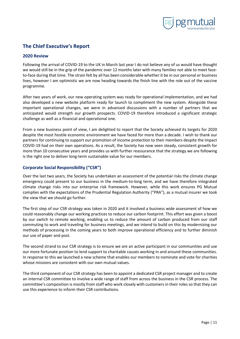

# <span id="page-11-0"></span>**The Chief Executive's Report**

## <span id="page-11-1"></span>**2020 Review**

Following the arrival of COVID-19 to the UK in March last year I do not believe any of us would have thought we would still be in the grip of the pandemic over 12 months later with many families not able to meet faceto-face during that time. The strain felt by all has been considerable whether it be in our personal or business lives, however I am optimistic we are now heading towards the finish line with the role out of the vaccine programme.

After two years of work, our new operating system was ready for operational implementation, and we had also developed a new website platform ready for launch to compliment the new system. Alongside these important operational changes, we were in advanced discussions with a number of partners that we anticipated would strength our growth prospects. COVID-19 therefore introduced a significant strategic challenge as well as a financial and operational one.

From a new business point of view, I am delighted to report that the Society achieved its targets for 2020 despite the most hostile economic environment we have faced for more than a decade. I wish to thank our partners for continuing to support our promotion of income protection to their members despite the impact COVID-19 had on their own operations. As a result, the Society has now seen steady, consistent growth for more than 10 consecutive years and provides us with further reassurance that the strategy we are following is the right one to deliver long-term sustainable value for our members.

# <span id="page-11-2"></span>**Corporate Social Responsibility ("CSR")**

Over the last two years, the Society has undertaken an assessment of the potential risks the climate change emergency could present to our business in the medium-to-long term, and we have therefore integrated climate change risks into our enterprise risk framework. However, while this work ensures PG Mutual complies with the expectations of the Prudential Regulation Authority ("PRA"), as a mutual insurer we took the view that we should go further.

The first step of our CSR strategy was taken in 2020 and it involved a business wide assessment of how we could reasonably change our working practices to reduce our carbon footprint. This effort was given a boost by our switch to remote working, enabling us to reduce the amount of carbon produced from our staff commuting to work and traveling for business meetings, and we intend to build on this by modernizing our methods of processing in the coming years to both improve operational efficiency and to further diminish our use of paper and post.

The second strand to our CSR strategy is to ensure we are an active participant in our communities and use our more fortunate position to lend support to charitable causes working in and around these communities. In response to this we launched a new scheme that enables our members to nominate and vote for charities whose missions are consistent with our own mutual values.

The third component of our CSR strategy has been to appoint a dedicated CSR project manager and to create an internal CSR committee to involve a wide range of staff from across the business in the CSR process. The committee's composition is mostly from staff who work closely with customers in their roles so that they can use this experience to inform their CSR contributions.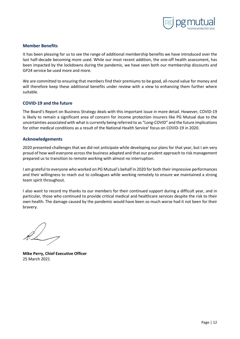

## <span id="page-12-0"></span>**Member Benefits**

It has been pleasing for us to see the range of additional membership benefits we have introduced over the last half-decade becoming more used. While our most recent addition, the one-off health assessment, has been impacted by the lockdowns during the pandemic, we have seen both our membership discounts and GP24 service be used more and more.

We are committed to ensuring that members find their premiums to be good, all-round value for money and will therefore keep these additional benefits under review with a view to enhancing them further where suitable.

## <span id="page-12-1"></span>**COVID-19 and the future**

The Board's Report on Business Strategy deals with this important issue in more detail. However, COVID-19 is likely to remain a significant area of concern for income protection insurers like PG Mutual due to the uncertainties associated with what is currently being referred to as "Long-COVID" and the future implications for other medical conditions as a result of the National Health Service' focus on COVID-19 in 2020.

## <span id="page-12-2"></span>**Acknowledgements**

2020 presented challenges that we did not anticipate while developing our plans for that year, but I am very proud of how well everyone across the business adapted and that our prudent approach to risk management prepared us to transition to remote working with almost no interruption.

I am grateful to everyone who worked on PG Mutual's behalf in 2020 for both their impressive performances and their willingness to reach out to colleagues while working remotely to ensure we maintained a strong team spirit throughout.

I also want to record my thanks to our members for their continued support during a difficult year, and in particular, those who continued to provide critical medical and healthcare services despite the risk to their own health. The damage caused by the pandemic would have been so much worse had it not been for their bravery.

**Mike Perry, Chief Executive Officer** 25 March 2021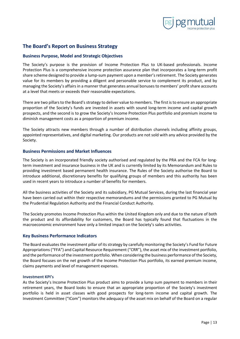

# <span id="page-13-0"></span>**The Board's Report on Business Strategy**

## <span id="page-13-1"></span>**Business Purpose, Model and Strategic Objectives**

The Society's purpose is the provision of Income Protection Plus to UK-based professionals. Income Protection Plus is a comprehensive income protection assurance plan that incorporates a long-term profit share scheme designed to provide a lump-sum payment upon a member's retirement. The Society generates value for its members by providing a diligent and personable service to complement its product, and by managing the Society's affairs in a manner that generates annual bonuses to members' profit share accounts at a level that meets or exceeds their reasonable expectations.

There are two pillars to the Board's strategy to deliver value to members. The first is to ensure an appropriate proportion of the Society's funds are invested in assets with sound long-term income and capital growth prospects, and the second is to grow the Society's Income Protection Plus portfolio and premium income to diminish management costs as a proportion of premium income.

The Society attracts new members through a number of distribution channels including affinity groups, appointed representatives, and digital marketing. Our products are not sold with any advice provided by the Society.

## <span id="page-13-2"></span>**Business Permissions and Market Influences**

The Society is an incorporated friendly society authorised and regulated by the PRA and the FCA for longterm investment and insurance business in the UK and is currently limited by its Memorandum and Rules to providing investment based permanent health insurance. The Rules of the Society authorise the Board to introduce additional, discretionary benefits for qualifying groups of members and this authority has been used in recent years to introduce a number of benefits for members.

All the business activities of the Society and its subsidiary, PG Mutual Services, during the last financial year have been carried out within their respective memorandums and the permissions granted to PG Mutual by the Prudential Regulation Authority and the Financial Conduct Authority.

The Society promotes Income Protection Plus within the United Kingdom only and due to the nature of both the product and its affordability for customers, the Board has typically found that fluctuations in the macroeconomic environment have only a limited impact on the Society's sales activities.

## <span id="page-13-3"></span>**Key Business Performance Indicators**

The Board evaluates the investment pillar of its strategy by carefully monitoring the Society's Fund for Future Appropriations ("FFA") and Capital Resource Requirement ("CRR"), the asset mix of the investment portfolio, and the performance of the investment portfolio. When considering the business performance of the Society, the Board focuses on the net growth of the Income Protection Plus portfolio, its earned premium income, claims payments and level of management expenses.

#### <span id="page-13-4"></span>**Investment KPI's**

As the Society's Income Protection Plus product aims to provide a lump sum payment to members in their retirement years, the Board looks to ensure that an appropriate proportion of the Society's investment portfolio is held in asset classes with good prospects for long-term income and capital growth. The Investment Committee ("ICom") monitors the adequacy of the asset mix on behalf of the Board on a regular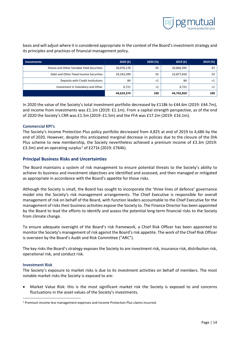

basis and will adjust where it is considered appropriate in the context of the Board's investment strategy and its principles and practices of financial management policy.

| Investments                                | 2020 $(f)$ | 2020 (%) | 2019(f)    | 2019 (%) |
|--------------------------------------------|------------|----------|------------|----------|
| Shares and Other Variable Yield Securities | 20,076,170 | 45       | 20,860,395 | 47       |
| Debt and Other Fixed Income Securities     | 24,543,399 | 55       | 23,877,650 | 53       |
| Deposits with Credit Institutions          | 84         | $\leq 1$ | 84         |          |
| Investment in Subsidiary and Other         | 4.721      | $\leq 1$ | 4.721      | -41      |
|                                            | 44,624,374 | 100      | 44,742,850 | 100      |

In 2020 the value of the Society's total investment portfolio decreased by £118k to £44.6m (2019: £44.7m), and income from investments was £1.1m (2019: £1.1m). From a capital strength perspective, as of the end of 2020 the Society's CRR was £1.5m (2019: £1.5m) and the FFA was £17.2m (2019: £16.1m).

## <span id="page-14-0"></span>**Commercial KPI's**

The Society's Income Protection Plus policy portfolio decreased from 4,825 at end of 2019 to 4,686 by the end of 2020. However, despite this anticipated marginal decrease in policies due to the closure of the DIA Plus scheme to new membership, the Society nevertheless achieved a premium income of £3.3m (2019: £3.3m) and an operating surplus<sup>[1](#page-14-3)</sup> of £271k (2019: £764k).

## <span id="page-14-1"></span>**Principal Business Risks and Uncertainties**

The Board maintains a system of risk management to ensure potential threats to the Society's ability to achieve its business and investment objectives are identified and assessed, and then managed or mitigated as appropriate in accordance with the Board's appetite for those risks.

Although the Society is small, the Board has sought to incorporate the 'three lines of defence' governance model into the Society's risk management arrangements. The Chief Executive is responsible for overall management of risk on behalf of the Board, with function leaders accountable to the Chief Executive for the management of risks their business activities expose the Society to. The Finance Director has been appointed by the Board to lead the efforts to identify and assess the potential long-term financial risks to the Society from climate change.

To ensure adequate oversight of the Board's risk framework, a Chief Risk Officer has been appointed to monitor the Society's management of risk against the Board's risk appetite. The work of the Chief Risk Officer is overseen by the Board's Audit and Risk Committee ("ARC").

The key risks the Board's strategy exposes the Society to are investment risk, insurance risk, distribution risk, operational risk, and conduct risk.

#### <span id="page-14-2"></span>**Investment Risk**

The Society's exposure to market risks is due to its investment activities on behalf of members. The most notable market risks the Society is exposed to are:

• Market Value Risk: this is the most significant market risk the Society is exposed to and concerns fluctuations in the asset values of the Society's investments.

<span id="page-14-3"></span><sup>1</sup> Premium income less management expenses and Income Protection Plus claims incurred.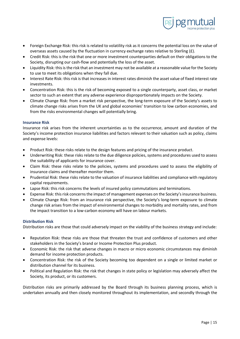

- Foreign Exchange Risk: this risk is related to volatility risk as it concerns the potential loss on the value of overseas assets caused by the fluctuation in currency exchange rates relative to Sterling  $(E)$ .
- Credit Risk: this is the risk that one or more investment counterparties default on their obligations to the Society, disrupting our cash-flow and potentially the loss of the asset.
- Liquidity Risk: this is the risk that an investment may not be available at a reasonable value for the Society to use to meet its obligations when they fall due.
- Interest Rate Risk: this risk is that increases in interest rates diminish the asset value of fixed interest rate investments.
- Concentration Risk: this is the risk of becoming exposed to a single counterparty, asset class, or market sector to such an extent that any adverse experience disproportionately impacts on the Society.
- Climate Change Risk: from a market risk perspective, the long-term exposure of the Society's assets to climate change risks arises from the UK and global economies' transition to low carbon economies, and from the risks environmental changes will potentially bring.

## <span id="page-15-0"></span>**Insurance Risk**

Insurance risk arises from the inherent uncertainties as to the occurrence, amount and duration of the Society's income protection insurance liabilities and factors relevant to their valuation such as policy, claims and expense levels:

- Product Risk: these risks relate to the design features and pricing of the insurance product.
- Underwriting Risk: these risks relate to the due diligence policies, systems and procedures used to assess the suitability of applicants for insurance cover.
- Claim Risk: these risks relate to the policies, systems and procedures used to assess the eligibility of insurance claims and thereafter monitor them.
- Prudential Risk: these risks relate to the valuation of insurance liabilities and compliance with regulatory capital requirements.
- Lapse Risk: this risk concerns the levels of insured policy commutations and terminations.
- Expense Risk: this risk concerns the impact of management expenses on the Society's insurance business.
- Climate Change Risk: from an insurance risk perspective, the Society's long-term exposure to climate change risk arises from the impact of environmental changes to morbidity and mortality rates, and from the impact transition to a low-carbon economy will have on labour markets.

## <span id="page-15-1"></span>**Distribution Risk**

Distribution risks are those that could adversely impact on the viability of the business strategy and include:

- Reputation Risk: these risks are those that threaten the trust and confidence of customers and other stakeholders in the Society's brand or Income Protection Plus product.
- Economic Risk: the risk that adverse changes in macro or micro economic circumstances may diminish demand for income protection products.
- Concentration Risk: the risk of the Society becoming too dependent on a single or limited market or distribution channel for its business.
- Political and Regulation Risk: the risk that changes in state policy or legislation may adversely affect the Society, its product, or its customers.

Distribution risks are primarily addressed by the Board through its business planning process, which is undertaken annually and then closely monitored throughout its implementation, and secondly through the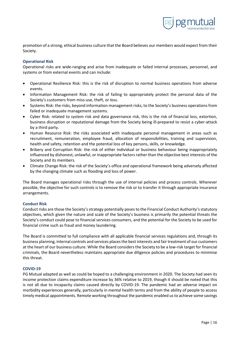

promotion of a strong, ethical business culture that the Board believes our members would expect from their Society.

## <span id="page-16-0"></span>**Operational Risk**

Operational risks are wide-ranging and arise from inadequate or failed internal processes, personnel, and systems or from external events and can include:

- Operational Resilience Risk: this is the risk of disruption to normal business operations from adverse events.
- Information Management Risk: the risk of failing to appropriately protect the personal data of the Society's customers from miss-use, theft, or loss.
- Systems Risk: the risks, beyond information management risks, to the Society's business operations from failed or inadequate management systems.
- Cyber Risk: related to system risk and data governance risk, this is the risk of financial loss, extortion, business disruption or reputational damage from the Society being ill-prepared to resist a cyber-attack by a third party.
- Human Resource Risk: the risks associated with inadequate personal management in areas such as recruitment, remuneration, employee fraud, allocation of responsibilities, training and supervision, health and safety, retention and the potential loss of key persons, skills, or knowledge.
- Bribery and Corruption Risk: the risk of either individual or business behaviour being inappropriately influenced by dishonest, unlawful, or inappropriate factors rather than the objective best interests of the Society and its members.
- Climate Change Risk: the risk of the Society's office and operational framework being adversely affected by the changing climate such as flooding and loss of power.

The Board manages operational risks through the use of internal policies and process controls. Wherever possible, the objective for such controls is to remove the risk or to transfer it through appropriate insurance arrangements.

#### <span id="page-16-1"></span>**Conduct Risk**

Conduct risks are those the Society's strategy potentially poses to the Financial Conduct Authority's statutory objectives, which given the nature and scale of the Society's business is primarily the potential threats the Society's conduct could pose to financial services consumers, and the potential for the Society to be used for financial crime such as fraud and money laundering.

The Board is committed to full compliance with all applicable financial services regulations and, through its business planning, internal controls and services places the best interests and fair treatment of our customers at the heart of our business culture. While the Board considers the Society to be a low-risk target for financial criminals, the Board nevertheless maintains appropriate due diligence policies and procedures to minimise this threat.

## <span id="page-16-2"></span>**COVID-19**

PG Mutual adapted as well as could be hoped to a challenging environment in 2020. The Society had seen its income protection claims expenditure increase by 36% relative to 2019, though it should be noted that this is not all due to incapacity claims caused directly by COVID-19. The pandemic had an adverse impact on morbidity experiences generally, particularly in mental health terms and from the ability of people to access timely medical appointments. Remote working throughout the pandemic enabled us to achieve some savings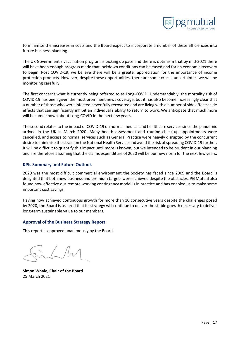

to minimise the increases in costs and the Board expect to incorporate a number of these efficiencies into future business planning.

The UK Government's vaccination program is picking up pace and there is optimism that by mid-2021 there will have been enough progress made that lockdown conditions can be eased and for an economic recovery to begin. Post COVID-19, we believe there will be a greater appreciation for the importance of income protection products. However, despite these opportunities, there are some crucial uncertainties we will be monitoring carefully.

The first concerns what is currently being referred to as Long-COVID. Understandably, the mortality risk of COVID-19 has been given the most prominent news coverage, but it has also become increasingly clear that a number of those who were infected never fully recovered and are living with a number of side effects; side effects that can significantly inhibit an individual's ability to return to work. We anticipate that much more will become known about Long-COVID in the next few years.

The second relates to the impact of COVID-19 on normal medical and healthcare services since the pandemic arrived in the UK in March 2020. Many health assessment and routine check-up appointments were cancelled, and access to normal services such as General Practice were heavily disrupted by the concurrent desire to minimise the strain on the National Health Service and avoid the risk of spreading COVID-19 further. It will be difficult to quantify this impact until more is known, but we intended to be prudent in our planning and are therefore assuming that the claims expenditure of 2020 will be our new norm for the next few years.

# <span id="page-17-0"></span>**KPIs Summary and Future Outlook**

2020 was the most difficult commercial environment the Society has faced since 2009 and the Board is delighted that both new business and premium targets were achieved despite the obstacles. PG Mutual also found how effective our remote working contingency model is in practice and has enabled us to make some important cost savings.

Having now achieved continuous growth for more than 10 consecutive years despite the challenges posed by 2020, the Board is assured that its strategy will continue to deliver the stable growth necessary to deliver long-term sustainable value to our members.

# <span id="page-17-1"></span>**Approval of the Business Strategy Report**

This report is approved unanimously by the Board.

**Simon Whale, Chair of the Board** 25 March 2021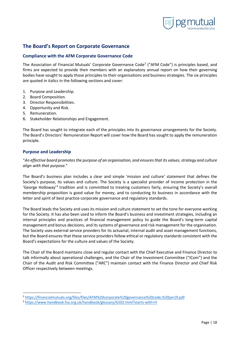

# <span id="page-18-0"></span>**The Board's Report on Corporate Governance**

# <span id="page-18-1"></span>**Compliance with the AFM Corporate Governance Code**

The Association of Financial Mutuals' Corporate Governance Code<sup>[2](#page-18-3)</sup> ("AFM Code") is principles based, and firms are expected to provide their members with an explanatory annual report on how their governing bodies have sought to apply those principles to their organisations and business strategies. The six principles are quoted in italics in the following sections and cover:

- 1. Purpose and Leadership.
- 2. Board Composition.
- 3. Director Responsibilities.
- 4. Opportunity and Risk.
- 5. Remuneration.
- 6. Stakeholder Relationships and Engagement.

The Board has sought to integrate each of the principles into its governance arrangements for the Society. The Board's Directors' Remuneration Report will cover how the Board has sought to apply the remuneration principle.

## <span id="page-18-2"></span>**Purpose and Leadership**

"*An effective board promotes the purpose of an organisation, and ensures that its values, strategy and culture align with that purpose.*"

The Board's business plan includes a clear and simple 'mission and culture' statement that defines the Society's purpose, its values and culture. The Society is a specialist provider of income protection in the 'George Holloway'[3](#page-18-4) tradition and is committed to treating customers fairly, ensuring the Society's overall membership proposition is good value for money, and to conducting its business in accordance with the letter and spirit of best practice corporate governance and regulatory standards.

The Board leads the Society and uses its mission and culture statement to set the tone for everyone working for the Society. It has also been used to inform the Board's business and investment strategies, including an internal principles and practices of financial management policy to guide the Board's long-term capital management and bonus decisions, and its systems of governance and risk management for the organisation. The Society uses external service providers for its actuarial, internal audit and asset management functions, but the Board ensures that these service providers follow ethical or regulatory standards consistent with the Board's expectations for the culture and values of the Society.

The Chair of the Board maintains close and regular contact with the Chief Executive and Finance Director to talk informally about operational challenges, and the Chair of the Investment Committee ("ICom") and the Chair of the Audit and Risk Committee ("ARC") maintain contact with the Finance Director and Chief Risk Officer respectively between meetings.

<sup>2</sup> <https://financialmutuals.org/files/files/AFM%20corporate%20governance%20code,%20jan19.pdf>

<span id="page-18-4"></span><span id="page-18-3"></span><sup>3</sup> <https://www.handbook.fca.org.uk/handbook/glossary/G502.html?starts-with=H>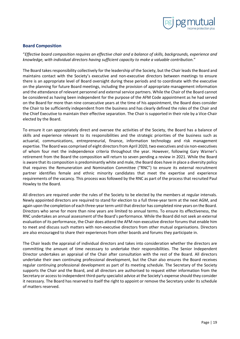

## <span id="page-19-0"></span>**Board Composition**

"*Effective board composition requires an effective chair and a balance of skills, backgrounds, experience and knowledge, with individual directors having sufficient capacity to make a valuable contribution.*"

The Board takes responsibility collectively for the leadership of the Society, but the Chair leads the Board and maintains contact with the Society's executive and non-executive directors between meetings to ensure there is an appropriate level of Board oversight during these periods and to coordinate with the executive on the planning for future Board meetings, including the provision of appropriate management information and the attendance of relevant personnel and external service partners. While the Chair of the Board cannot be considered as having been independent for the purpose of the AFM Code appointment as he had served on the Board for more than nine consecutive years at the time of his appointment, the Board does consider the Chair to be sufficiently independent from the business and has clearly defined the roles of the Chair and the Chief Executive to maintain their effective separation. The Chair is supported in their role by a Vice-Chair elected by the Board.

To ensure it can appropriately direct and oversee the activities of the Society, the Board has a balance of skills and experience relevant to its responsibilities and the strategic priorities of the business such as actuarial, communications, entrepreneurial, finance, information technology and risk management expertise. The Board was comprised of eight directors from April 2020, two executives and six non-executives of whom four met the independence criteria throughout the year. However, following Gary Warner's retirement from the Board the composition will return to seven pending a review in 2021. While the Board is aware that its composition is predominantly white and male, the Board does have in place a diversity policy that requires the Remuneration and Nomination Committee ("RNC") to ensure its external recruitment partner identifies female and ethnic minority candidates that meet the expertise and experience requirements of the vacancy. This process was followed by the RNC as part of the process that recruited Paul Howley to the Board.

All directors are required under the rules of the Society to be elected by the members at regular intervals. Newly appointed directors are required to stand for election to a full three-year term at the next AGM, and again upon the completion of each three-year term until that director has completed nine years on the Board. Directors who serve for more than nine years are limited to annual terms. To ensure its effectiveness, the RNC undertakes an annual assessment of the Board's performance. While the Board did not seek an external evaluation of its performance, the Chair does attend the AFM non-executive director forums that enable him to meet and discuss such matters with non-executive directors from other mutual organisations. Directors are also encouraged to share their experiences from other boards and forums they participate in.

The Chair leads the appraisal of individual directors and takes into consideration whether the directors are committing the amount of time necessary to undertake their responsibilities. The Senior Independent Director undertakes an appraisal of the Chair after consultation with the rest of the Board. All directors undertake their own continuing professional development, but the Chair also ensures the Board receives regular continuing professional development as part of its meeting schedule. The Secretary of the Society supports the Chair and the Board, and all directors are authorised to request either information from the Secretary or access to independent third-party specialist advice at the Society's expense should they consider it necessary. The Board has reserved to itself the right to appoint or remove the Secretary under its schedule of matters reserved.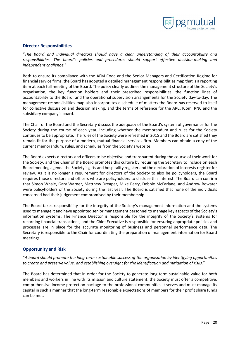

## <span id="page-20-0"></span>**Director Responsibilities**

"*The board and individual directors should have a clear understanding of their accountability and responsibilities. The board's policies and procedures should support effective decision-making and independent challenge.*"

Both to ensure its compliance with the AFM Code and the Senior Managers and Certification Regime for financial service firms, the Board has adopted a detailed management responsibilities map that is a reporting item at each full meeting of the Board. The policy clearly outlines the management structure of the Society's organisation; the key function holders and their prescribed responsibilities; the function lines of accountability to the Board; and the operational supervision arrangements for the Society day-to-day. The management responsibilities map also incorporates a schedule of matters the Board has reserved to itself for collective discussion and decision making, and the terms of reference for the ARC, ICom, RNC and the subsidiary company's board.

The Chair of the Board and the Secretary discuss the adequacy of the Board's system of governance for the Society during the course of each year, including whether the memorandum and rules for the Society continues to be appropriate. The rules of the Society were refreshed in 2015 and the Board are satisfied they remain fit for the purpose of a modern, mutual financial services firm. Members can obtain a copy of the current memorandum, rules, and schedules from the Society's website.

The Board expects directors and officers to be objective and transparent during the course of their work for the Society, and the Chair of the Board promotes this culture by requiring the Secretary to include on each Board meeting agenda the Society's gifts and hospitality register and the declaration of interests register for review. As it is no longer a requirement for directors of the Society to also be policyholders, the Board requires those directors and officers who are policyholders to disclose this interest. The Board can confirm that Simon Whale, Gary Warner, Matthew Dreaper, Mike Perry, Debbie McFarlane, and Andrew Bowater were policyholders of the Society during the last year. The Board is satisfied that none of the individuals concerned had their judgement compromised by their membership.

The Board takes responsibility for the integrity of the Society's management information and the systems used to manage it and have appointed senior management personnel to manage key aspects of the Society's information systems. The Finance Director is responsible for the integrity of the Society's systems for recording financial transactions, and the Chief Executive is responsible for ensuring appropriate policies and processes are in place for the accurate monitoring of business and personnel performance data. The Secretary is responsible to the Chair for coordinating the preparation of management information for Board meetings.

## <span id="page-20-1"></span>**Opportunity and Risk**

"*A board should promote the long-term sustainable success of the organisation by identifying opportunities to create and preserve value, and establishing oversight for the identification and mitigation of risks.*"

The Board has determined that in order for the Society to generate long-term sustainable value for both members and workers in line with its mission and culture statement, the Society must offer a competitive, comprehensive income protection package to the professional communities it serves and must manage its capital in such a manner that the long-term reasonable expectations of members for their profit share funds can be met.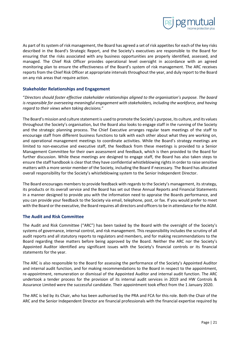

As part of its system of risk management, the Board has agreed a set of risk appetites for each of the key risks described in the Board's Strategic Report, and the Society's executives are responsible to the Board for ensuring that the risks associated with any business opportunities are properly identified, assessed, and managed. The Chief Risk Officer provides operational level oversight in accordance with an agreed monitoring plan to ensure the effectiveness of the Board's system of risk management. The ARC receives reports from the Chief Risk Officer at appropriate intervals throughout the year, and duly report to the Board on any risk areas that require action.

# <span id="page-21-0"></span>**Stakeholder Relationships and Engagement**

"*Directors should foster effective stakeholder relationships aligned to the organisation's purpose. The board is responsible for overseeing meaningful engagement with stakeholders, including the workforce, and having regard to their views when taking decisions.*"

The Board's mission and culture statement is used to promote the Society's purpose, its culture, and its values throughout the Society's organisation, but the Board also looks to engage staff in the running of the Society and the strategic planning process. The Chief Executive arranges regular team meetings of the staff to encourage staff from different business functions to talk with each other about what they are working on, and operational management meetings to coordinate activities. While the Board's strategy meetings are limited to non-executive and executive staff, the feedback from these meetings is provided to a Senior Management Committee for their own assessment and feedback, which is then provided to the Board for further discussion. While these meetings are designed to engage staff, the Board has also taken steps to ensure the staff handbook is clear that they have confidential whistleblowing rights in order to raise sensitive matters with a more senior member of the Society, including the Board if necessary. The Board has allocated overall responsibility for the Society's whistleblowing system to the Senior Independent Director.

The Board encourages members to provide feedback with regards to the Society's management, its strategy, its products or its overall service and the Board has set out these Annual Reports and Financial Statements in a manner designed to provide you with the information need to appraise the Boards performance, and you can provide your feedback to the Society via email, telephone, post, or fax. If you would prefer to meet with the Board or the executive, the Board requires all directors and officers to be in attendance for the AGM.

## <span id="page-21-1"></span>**The Audit and Risk Committee**

The Audit and Risk Committee ("ARC") has been tasked by the Board with the oversight of the Society's systems of governance, internal control, and risk management. This responsibility includes the scrutiny of all audit reports and all statutory reports to regulators and members, and for making recommendations to the Board regarding these matters before being approved by the Board. Neither the ARC nor the Society's Appointed Auditor identified any significant issues with the Society's financial controls or its financial statements for the year.

The ARC is also responsible to the Board for assessing the performance of the Society's Appointed Auditor and internal audit function, and for making recommendations to the Board in respect to the appointment, re-appointment, remuneration or dismissal of the Appointed Auditor and internal audit function. The ARC undertook a tender process for the provision of its internal audit services in 2019 and HW Controls & Assurance Limited were the successful candidate. Their appointment took effect from the 1 January 2020.

The ARC is led by its Chair, who has been authorised by the PRA and FCA for this role. Both the Chair of the ARC and the Senior Independent Director are financial professionals with the financial expertise required by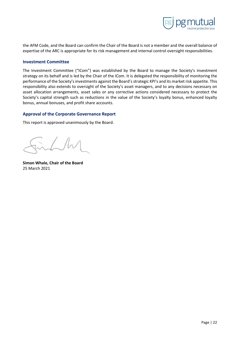

the AFM Code, and the Board can confirm the Chair of the Board is not a member and the overall balance of expertise of the ARC is appropriate for its risk management and internal control oversight responsibilities.

#### <span id="page-22-0"></span>**Investment Committee**

The Investment Committee ("ICom") was established by the Board to manage the Society's investment strategy on its behalf and is led by the Chair of the ICom. It is delegated the responsibility of monitoring the performance of the Society's investments against the Board's strategic KPI's and its market risk appetite. This responsibility also extends to oversight of the Society's asset managers, and to any decisions necessary on asset allocation arrangements, asset sales or any corrective actions considered necessary to protect the Society's capital strength such as reductions in the value of the Society's loyalty bonus, enhanced loyalty bonus, annual bonuses, and profit share accounts.

## <span id="page-22-1"></span>**Approval of the Corporate Governance Report**

This report is approved unanimously by the Board.

**Simon Whale, Chair of the Board** 25 March 2021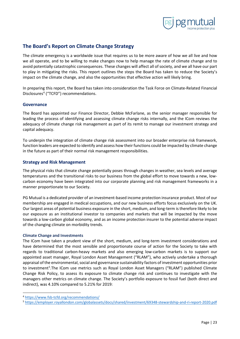

# <span id="page-23-0"></span>**The Board's Report on Climate Change Strategy**

The climate emergency is a worldwide issue that requires us to be more aware of how we all live and how we all operate, and to be willing to make changes now to help manage the rate of climate change and to avoid potentially catastrophic consequences. These changes will affect all of society, and we all have our part to play in mitigating the risks. This report outlines the steps the Board has taken to reduce the Society's impact on the climate change, and also the opportunities that effective action will likely bring.

In preparing this report, the Board has taken into consideration the Task Force on Climate-Related Financial Disclosures<sup>4</sup> ("TCFD") recommendations.

## <span id="page-23-1"></span>**Governance**

The Board has appointed our Finance Director, Debbie McFarlane, as the senior manager responsible for leading the process of identifying and assessing climate change risks internally, and the ICom reviews the adequacy of climate change risk management as part of its remit to manage our investment strategy and capital adequacy.

To underpin the integration of climate change risk assessment into our broader enterprise risk framework, function leaders are expected to identify and assess how their functions could be impacted by climate change in the future as part of their normal risk management responsibilities.

## <span id="page-23-2"></span>**Strategy and Risk Management**

The physical risks that climate change potentially poses through changes in weather, sea levels and average temperatures and the transitional risks to our business from the global effort to move towards a new, lowcarbon economy have been integrated into our corporate planning and risk management frameworks in a manner proportionate to our Society.

PG Mutual is a dedicated provider of an investment-based income protection insurance product. Most of our membership are engaged in medical occupations, and our new business efforts focus exclusively on the UK. Our largest areas of potential business exposure in the short, medium, and long-term is therefore likely to be our exposure as an institutional investor to companies and markets that will be impacted by the move towards a low-carbon global economy, and as an income protection insurer to the potential adverse impact of the changing climate on morbidity trends.

#### <span id="page-23-3"></span>**Climate Change and Investments**

The ICom have taken a prudent view of the short, medium, and long-term investment considerations and have determined that the most sensible and proportionate course of action for the Society to take with regards to traditional carbon-heavy markets and also emerging low-carbon markets is to support our appointed asset manager, Royal London Asset Management ("RLAM"), who actively undertake a thorough appraisal of the environmental, social and governance sustainability factors of investment opportunities prior to investment<sup>[5](#page-23-5)</sup>. The ICom use metrics such as Royal London Asset Managers ("RLAM") published Climate Change Risk Policy, to assess its exposure to climate change risk and continues to investigate with the managers other metrics on climate change. The Society's portfolio exposure to fossil fuel (both direct and indirect), was 4.10% compared to 5.21% for 2019:

<span id="page-23-4"></span><sup>4</sup> <https://www.fsb-tcfd.org/recommendations/>

<span id="page-23-5"></span><sup>5</sup> <https://employer.royallondon.com/globalassets/docs/shared/investment/69348-stewardship-and-ri-report-2020.pdf>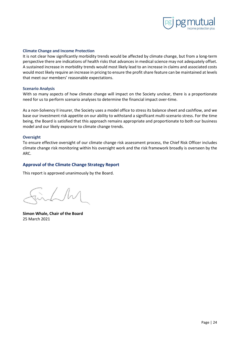

#### <span id="page-24-0"></span>**Climate Change and Income Protection**

It is not clear how significantly morbidity trends would be affected by climate change, but from a long-term perspective there are indications of health risks that advances in medical science may not adequately offset. A sustained increase in morbidity trends would most likely lead to an increase in claims and associated costs would most likely require an increase in pricing to ensure the profit share feature can be maintained at levels that meet our members' reasonable expectations.

#### <span id="page-24-1"></span>**Scenario Analysis**

With so many aspects of how climate change will impact on the Society unclear, there is a proportionate need for us to perform scenario analyses to determine the financial impact over-time.

As a non-Solvency II insurer, the Society uses a model office to stress its balance sheet and cashflow, and we base our investment risk appetite on our ability to withstand a significant multi-scenario stress. For the time being, the Board is satisfied that this approach remains appropriate and proportionate to both our business model and our likely exposure to climate change trends.

#### <span id="page-24-2"></span>**Oversight**

To ensure effective oversight of our climate change risk assessment process, the Chief Risk Officer includes climate change risk monitoring within his oversight work and the risk framework broadly is overseen by the ARC.

# <span id="page-24-3"></span>**Approval of the Climate Change Strategy Report**

This report is approved unanimously by the Board.

**Simon Whale, Chair of the Board** 25 March 2021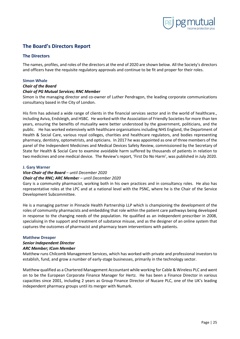

# <span id="page-25-0"></span>**The Board's Directors Report**

## <span id="page-25-1"></span>**The Directors**

The names, profiles, and roles of the directors at the end of 2020 are shown below. All the Society's directors and officers have the requisite regulatory approvals and continue to be fit and proper for their roles.

#### <span id="page-25-2"></span>**Simon Whale**

#### *Chair of the Board*

#### *Chair of PG Mutual Services; RNC Member*

Simon is the managing director and co-owner of Luther Pendragon, the leading corporate communications consultancy based in the City of London.

His firm has advised a wide range of clients in the financial services sector and in the world of healthcare., including Aviva, Endsleigh, and HSBC. He worked with the Association of Friendly Societies for more than ten years, ensuring the benefits of mutuality were better understood by the government, politicians, and the public. He has worked extensively with healthcare organisations including NHS England, the Department of Health & Social Care, various royal colleges, charities and healthcare regulators, and bodies representing pharmacy, dentistry, optometrists, and opticians. In 2017 he was appointed as one of three members of the panel of the Independent Medicines and Medical Devices Safety Review, commissioned by the Secretary of State for Health & Social Care to examine avoidable harm suffered by thousands of patients in relation to two medicines and one medical device. The Review's report, 'First Do No Harm', was published in July 2020.

#### <span id="page-25-3"></span>**J. Gary Warner**

## *Vice-Chair of the Board – until December 2020*

## *Chair of the RNC; ARC Member – until December 2020*

Gary is a community pharmacist, working both in his own practices and in consultancy roles. He also has representative roles at the LPC and at a national level with the PSNC, where he is the Chair of the Service Development Subcommittee.

He is a managing partner in Pinnacle Health Partnership LLP which is championing the development of the roles of community pharmacists and embedding that role within the patient care pathways being developed in response to the changing needs of the population. He qualified as an independent prescriber in 2008, specialising in the support and treatment of substance misuse, and as the designer of an online system that captures the outcomes of pharmacist and pharmacy team interventions with patients.

#### <span id="page-25-4"></span>**Matthew Dreaper**

#### *Senior Independent Director*

#### *ARC Member; ICom Member*

Matthew runs Chilcomb Management Services, which has worked with private and professional investors to establish, fund, and grow a number of early-stage businesses, primarily in the technology sector.

Matthew qualified as a Chartered Management Accountant while working for Cable & Wireless PLC and went on to be the European Corporate Finance Manager for Hertz. He has been a Finance Director in various capacities since 2001, including 2 years as Group Finance Director of Nucare PLC, one of the UK's leading independent pharmacy groups until its merger with Numark.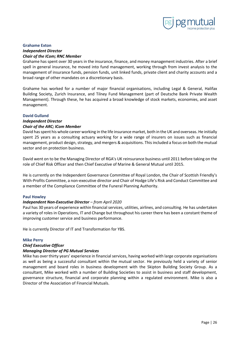

## <span id="page-26-0"></span>**Grahame Exton**  *Independent Director Chair of the ICom; RNC Member*

Grahame has spent over 30 years in the insurance, finance, and money management industries. After a brief spell in general insurance, he moved into fund management, working through from invest analysis to the management of insurance funds, pension funds, unit linked funds, private client and charity accounts and a broad range of other mandates on a discretionary basis.

Grahame has worked for a number of major financial organisations, including Legal & General, Halifax Building Society, Zurich Insurance, and Tilney Fund Management (part of Deutsche Bank Private Wealth Management). Through these, he has acquired a broad knowledge of stock markets, economies, and asset management.

## <span id="page-26-1"></span>**David Gulland**

# *Independent Director*

# *Chair of the ARC; ICom Member*

David has spent his whole career working in the life insurance market, both in the UK and overseas. He initially spent 25 years as a consulting actuary working for a wide range of insurers on issues such as financial management, product design, strategy, and mergers & acquisitions. This included a focus on both the mutual sector and on protection business.

David went on to be the Managing Director of RGA's UK reinsurance business until 2011 before taking on the role of Chief Risk Officer and then Chief Executive of Marine & General Mutual until 2015.

He is currently on the Independent Governance Committee of Royal London, the Chair of Scottish Friendly's With-Profits Committee, a non-executive director and Chair of Hodge Life's Risk and Conduct Committee and a member of the Compliance Committee of the Funeral Planning Authority.

# <span id="page-26-2"></span>**Paul Howley**

# *Independent Non-Executive Director – from April 2020*

Paul has 30 years of experience within financial services, utilities, airlines, and consulting. He has undertaken a variety of roles in Operations, IT and Change but throughout his career there has been a constant theme of improving customer service and business performance.

He is currently Director of IT and Transformation for YBS.

## <span id="page-26-3"></span>**Mike Perry**

# *Chief Executive Officer*

# *Managing Director of PG Mutual Services*

Mike has over thirty years' experience in financial services, having worked with large corporate organisations as well as being a successful consultant within the mutual sector. He previously held a variety of senior management and board roles in business development with the Skipton Building Society Group. As a consultant, Mike worked with a number of Building Societies to assist in business and staff development, governance structure, financial and corporate planning within a regulated environment. Mike is also a Director of the Association of Financial Mutuals.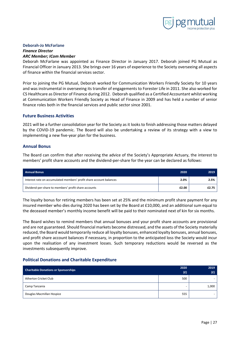

#### <span id="page-27-0"></span>**Deborah-Jo McFarlane**

#### *Finance Director ARC Member; ICom Member*

Deborah McFarlane was appointed as Finance Director in January 2017. Deborah joined PG Mutual as Financial Officer in January 2013. She brings over 16 years of experience to the Society overseeing all aspects of finance within the financial services sector.

Prior to joining the PG Mutual, Deborah worked for Communication Workers Friendly Society for 10 years and was instrumental in overseeing its transfer of engagements to Forester Life in 2011. She also worked for CS Healthcare as Director of Finance during 2012. Deborah qualified as a Certified Accountant whilst working at Communication Workers Friendly Society as Head of Finance in 2009 and has held a number of senior finance roles both in the financial services and public sector since 2001.

## <span id="page-27-1"></span>**Future Business Activities**

2021 will be a further consolidation year for the Society as it looks to finish addressing those matters delayed by the COVID-19 pandemic. The Board will also be undertaking a review of its strategy with a view to implementing a new five-year plan for the business.

## <span id="page-27-2"></span>**Annual Bonus**

The Board can confirm that after receiving the advice of the Society's Appropriate Actuary, the interest to members' profit share accounts and the dividend-per-share for the year can be declared as follows:

| <b>Annual Bonus</b>                                                 | 2020  | 2019  |
|---------------------------------------------------------------------|-------|-------|
| Interest rate on accumulated members' profit share account balances | 2.0%  | 2.5%  |
| Dividend-per-share to members' profit share accounts                | £2.00 | £2.75 |

The loyalty bonus for retiring members has been set at 25% and the minimum profit share payment for any insured member who dies during 2020 has been set by the Board at £10,000, and an additional sum equal to the deceased member's monthly income benefit will be paid to their nominated next of kin for six months.

The Board wishes to remind members that annual bonuses and your profit share accounts are provisional and are not guaranteed. Should financial markets become distressed, and the assets of the Society materially reduced, the Board would temporarily reduce all loyalty bonuses, enhanced loyalty bonuses, annual bonuses, and profit share account balances if necessary, in proportion to the anticipated loss the Society would incur upon the realisation of any investment losses. Such temporary reductions would be reversed as the investments subsequently improve.

## <span id="page-27-3"></span>**Political Donations and Charitable Expenditure**

| <b>Charitable Donations or Sponsorships</b> | 2020 | 2019  |
|---------------------------------------------|------|-------|
|                                             | (f)  | (E)   |
| Atherton Cricket Club                       | 500  |       |
| Camp Tanzania                               |      | 1,000 |
| Douglas Macmillan Hospice                   | 555  |       |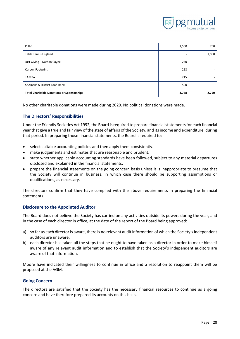

| PHAB                                              | 1,500 | 750   |
|---------------------------------------------------|-------|-------|
| <b>Table Tennis England</b>                       |       | 1,000 |
| Just Giving - Nathan Coyne                        | 250   |       |
| Carbon Footprint                                  | 258   |       |
| <b>TAMBA</b>                                      | 215   | -     |
| St Albans & District Food Bank                    | 500   |       |
| <b>Total Charitable Donations or Sponsorships</b> | 3,778 | 2,750 |

No other charitable donations were made during 2020. No political donations were made.

# <span id="page-28-0"></span>**The Directors' Responsibilities**

Under the Friendly Societies Act 1992, the Board is required to prepare financial statements for each financial year that give a true and fair view of the state of affairs of the Society, and its income and expenditure, during that period. In preparing those financial statements, the Board is required to:

- select suitable accounting policies and then apply them consistently.
- make judgements and estimates that are reasonable and prudent.
- state whether applicable accounting standards have been followed, subject to any material departures disclosed and explained in the financial statements.
- prepare the financial statements on the going concern basis unless it is inappropriate to presume that the Society will continue in business, in which case there should be supporting assumptions or qualifications, as necessary.

The directors confirm that they have complied with the above requirements in preparing the financial statements.

## <span id="page-28-1"></span>**Disclosure to the Appointed Auditor**

The Board does not believe the Society has carried on any activities outside its powers during the year, and in the case of each director in office, at the date of the report of the Board being approved:

- a) so far as each director is aware, there is no relevant audit information of which the Society's independent auditors are unaware.
- b) each director has taken all the steps that he ought to have taken as a director in order to make himself aware of any relevant audit information and to establish that the Society's independent auditors are aware of that information.

Moore have indicated their willingness to continue in office and a resolution to reappoint them will be proposed at the AGM.

## <span id="page-28-2"></span>**Going Concern**

The directors are satisfied that the Society has the necessary financial resources to continue as a going concern and have therefore prepared its accounts on this basis.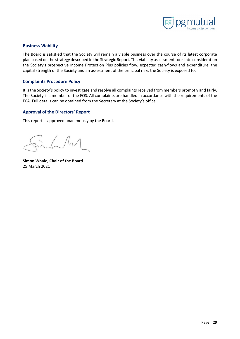

## <span id="page-29-0"></span>**Business Viability**

The Board is satisfied that the Society will remain a viable business over the course of its latest corporate plan based on the strategy described in the Strategic Report. This viability assessment took into consideration the Society's prospective Income Protection Plus policies flow, expected cash-flows and expenditure, the capital strength of the Society and an assessment of the principal risks the Society is exposed to.

## <span id="page-29-1"></span>**Complaints Procedure Policy**

It is the Society's policy to investigate and resolve all complaints received from members promptly and fairly. The Society is a member of the FOS. All complaints are handled in accordance with the requirements of the FCA. Full details can be obtained from the Secretary at the Society's office.

# <span id="page-29-2"></span>**Approval of the Directors' Report**

This report is approved unanimously by the Board.

**Simon Whale, Chair of the Board** 25 March 2021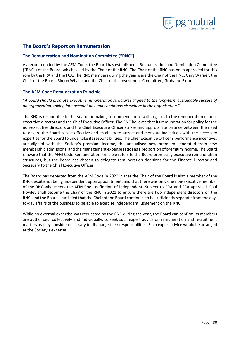

# <span id="page-30-0"></span>**The Board's Report on Remuneration**

# <span id="page-30-1"></span>**The Remuneration and Nomination Committee ("RNC")**

As recommended by the AFM Code, the Board has established a Remuneration and Nomination Committee ("RNC") of the Board, which is led by the Chair of the RNC. The Chair of the RNC has been approved for this role by the PRA and the FCA. The RNC members during the year were the Chair of the RNC, Gary Warner; the Chair of the Board, Simon Whale; and the Chair of the Investment Committee, Grahame Exton.

## <span id="page-30-2"></span>**The AFM Code Remuneration Principle**

"*A board should promote executive remuneration structures aligned to the long-term sustainable success of an organisation, taking into account pay and conditions elsewhere in the organisation.*"

The RNC is responsible to the Board for making recommendations with regards to the remuneration of nonexecutive directors and the Chief Executive Officer. The RNC believes that its remuneration for policy for the non-executive directors and the Chief Executive Officer strikes and appropriate balance between the need to ensure the Board is cost effective and its ability to attract and motivate individuals with the necessary expertise for the Board to undertake its responsibilities. The Chief Executive Officer's performance incentives are aligned with the Society's premium income, the annualised new premium generated from new membership admissions, and the management expense ratios as a proportion of premium income. The Board is aware that the AFM Code Remuneration Principle refers to the Board promoting executive remuneration structures, but the Board has chosen to delegate remuneration decisions for the Finance Director and Secretary to the Chief Executive Officer.

The Board has departed from the AFM Code in 2020 in that the Chair of the Board is also a member of the RNC despite not being independent upon appointment, and that there was only one non-executive member of the RNC who meets the AFM Code definition of independent. Subject to PRA and FCA approval, Paul Howley shall become the Chair of the RNC in 2021 to ensure there are two independent directors on the RNC, and the Board is satisfied that the Chair of the Board continues to be sufficiently separate from the dayto-day affairs of the business to be able to exercise independent judgement on the RNC.

While no external expertise was requested by the RNC during the year, the Board can confirm its members are authorised, collectively and individually, to seek such expert advice on remuneration and recruitment matters as they consider necessary to discharge their responsibilities. Such expert advice would be arranged at the Society's expense.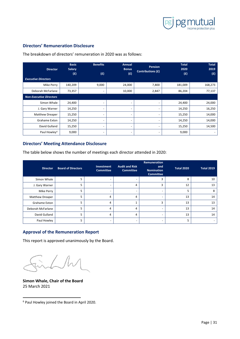

**Total 2019 (£)**

# <span id="page-31-0"></span>**Directors' Remuneration Disclosure**

**Director Basic Salary (£) Benefits (£) Annual Bonus (£) Pension Contributions (£) Total 2020 (£)** *Executive Directors* Mike Perry | 140,209 | 9,000 | 24,000 | 7,800 | 181,009 | 168,273 Deborah McFarlane | 73,357 | | 10,000 | 2,847 | 86,204 | 77,137 *Non-Executive Directors* Simon Whale 24,400 | 24,400 | 24,000 | 24,000 | 24,000 | 24,000 | 24,000 | 24,000 | 24,000 | 24,000 | 24,000 | J. Gary Warner 14,250 - - - 14,250 16,250 Matthew Dreaper 15,250 14,000 Grahame Exton 14,250 - - - 14,250 14,000 David Gulland 15,250 - - - 15,250 14,500 Paul Howley[6](#page-31-3) 9,000 - - - 9,000 -

The breakdown of directors' remuneration in 2020 was as follows:

## <span id="page-31-1"></span>**Directors' Meeting Attendance Disclosure**

The table below shows the number of meetings each director attended in 2020:

| <b>Director</b>        | <b>Board of Directors</b> | Investment<br><b>Committee</b> | <b>Audit and Risk</b><br><b>Committee</b> | Remuneration<br>and<br><b>Nomination</b><br><b>Committee</b> | Total 2020 | <b>Total 2019</b> |
|------------------------|---------------------------|--------------------------------|-------------------------------------------|--------------------------------------------------------------|------------|-------------------|
| Simon Whale            | 5                         | ۰                              | $\overline{\phantom{0}}$                  | 3                                                            | 8          | 10                |
| J. Gary Warner         | 5                         |                                | 4                                         | З                                                            | 12         | 13                |
| Mike Perry             | 5                         |                                | $\overline{\phantom{0}}$                  | -                                                            | 5          | 8                 |
| <b>Matthew Dreaper</b> | 5                         | 4                              | 4                                         |                                                              | 13         | 14                |
| Grahame Exton          | 5                         | 4                              |                                           | 3                                                            | 13         | 13                |
| Deborah McFarlane      | 5                         | 4                              | 4                                         |                                                              | 13         | 14                |
| David Gulland          | 5                         | 4                              | 4                                         | -                                                            | 13         | 14                |
| Paul Howley            | כ                         |                                |                                           |                                                              | 5          |                   |

# <span id="page-31-2"></span>**Approval of the Remuneration Report**

This report is approved unanimously by the Board.

**Simon Whale, Chair of the Board** 25 March 2021

<span id="page-31-3"></span><sup>6</sup> Paul Howley joined the Board in April 2020.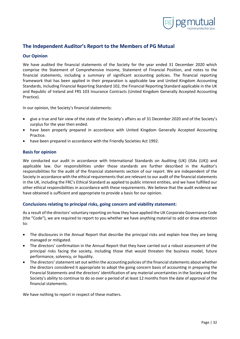

# <span id="page-32-0"></span>**The Independent Auditor's Report to the Members of PG Mutual**

## <span id="page-32-1"></span>**Our Opinion**

We have audited the financial statements of the Society for the year ended 31 December 2020 which comprise the Statement of Comprehensive Income, Statement of Financial Position, and notes to the financial statements, including a summary of significant accounting policies. The financial reporting framework that has been applied in their preparation is applicable law and United Kingdom Accounting Standards, including Financial Reporting Standard 102, the Financial Reporting Standard applicable in the UK and Republic of Ireland and FRS 103 Insurance Contracts (United Kingdom Generally Accepted Accounting Practice).

In our opinion, the Society's financial statements:

- give a true and fair view of the state of the Society's affairs as of 31 December 2020 and of the Society's surplus for the year then ended.
- have been properly prepared in accordance with United Kingdom Generally Accepted Accounting Practice.
- have been prepared in accordance with the Friendly Societies Act 1992.

## <span id="page-32-2"></span>**Basis for opinion**

We conducted our audit in accordance with International Standards on Auditing (UK) (ISAs (UK)) and applicable law. Our responsibilities under those standards are further described in the Auditor's responsibilities for the audit of the financial statements section of our report. We are independent of the Society in accordance with the ethical requirements that are relevant to our audit of the financial statements in the UK, including the FRC's Ethical Standard as applied to public interest entities, and we have fulfilled our other ethical responsibilities in accordance with these requirements. We believe that the audit evidence we have obtained is sufficient and appropriate to provide a basis for our opinion.

## <span id="page-32-3"></span>**Conclusions relating to principal risks, going concern and viability statement:**

As a result of the directors' voluntary reporting on how they have applied the UK Corporate Governance Code (the "Code"), we are required to report to you whether we have anything material to add or draw attention to:

- The disclosures in the Annual Report that describe the principal risks and explain how they are being managed or mitigated.
- The directors' confirmation in the Annual Report that they have carried out a robust assessment of the principal risks facing the society, including those that would threaten the business model, future performance, solvency, or liquidity.
- The directors' statement set out within the accounting policies of the financial statements about whether the directors considered it appropriate to adopt the going concern basis of accounting in preparing the Financial Statements and the directors' identification of any material uncertainties in the Society and the Society's ability to continue to do so over a period of at least 12 months from the date of approval of the financial statements.

We have nothing to report in respect of these matters.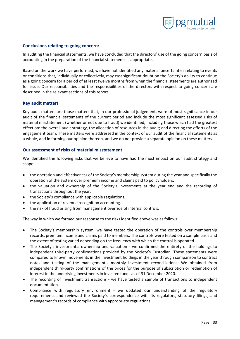

## <span id="page-33-0"></span>**Conclusions relating to going concern:**

In auditing the financial statements, we have concluded that the directors' use of the going concern basis of accounting in the preparation of the financial statements is appropriate.

Based on the work we have performed, we have not identified any material uncertainties relating to events or conditions that, individually or collectively, may cast significant doubt on the Society's ability to continue as a going concern for a period of at least twelve months from when the financial statements are authorised for issue. Our responsibilities and the responsibilities of the directors with respect to going concern are described in the relevant sections of this report.

#### <span id="page-33-1"></span>**Key audit matters**

Key audit matters are those matters that, in our professional judgement, were of most significance in our audit of the financial statements of the current period and include the most significant assessed risks of material misstatement (whether or not due to fraud) we identified, including those which had the greatest effect on: the overall audit strategy, the allocation of resources in the audit; and directing the efforts of the engagement team. These matters were addressed in the context of our audit of the financial statements as a whole, and in forming our opinion thereon, and we do not provide a separate opinion on these matters.

#### <span id="page-33-2"></span>**Our assessment of risks of material misstatement**

We identified the following risks that we believe to have had the most impact on our audit strategy and scope:

- the operation and effectiveness of the Society's membership system during the year and specifically the operation of the system over premium income and claims paid to policyholders.
- the valuation and ownership of the Society's investments at the year end and the recording of transactions throughout the year.
- the Society's compliance with applicable regulations.
- the application of revenue recognition accounting.
- the risk of fraud arising from management override of internal controls.

The way in which we formed our response to the risks identified above was as follows:

- The Society's membership system: we have tested the operation of the controls over membership records, premium income and claims paid to members. The controls were tested on a sample basis and the extent of testing varied depending on the frequency with which the control is operated.
- The Society's investments: ownership and valuation we confirmed the entirety of the holdings to independent third-party confirmations provided by the Society's Custodian. These statements were compared to known movements in the investment holdings in the year through comparison to contract notes and testing of the management's monthly investment reconciliations. We obtained from independent third-party confirmations of the prices for the purpose of subscription or redemption of interest in the underlying investments in investee funds as of 31 December 2020.
- The recording of investment transactions we have tested a sample of transactions to independent documentation.
- Compliance with regulatory environment we updated our understanding of the regulatory requirements and reviewed the Society's correspondence with its regulators, statutory filings, and management's records of compliance with appropriate regulations.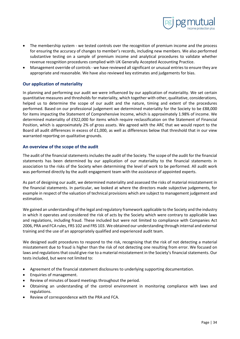

- The membership system we tested controls over the recognition of premium income and the process for ensuring the accuracy of changes to member's records, including new members. We also performed substantive testing on a sample of premium income and analytical procedures to validate whether revenue recognition procedures complied with UK Generally Accepted Accounting Practice.
- Management override of controls we have reviewed all significant or unusual entries to ensure they are appropriate and reasonable. We have also reviewed key estimates and judgements for bias.

# <span id="page-34-0"></span>**Our application of materiality**

In planning and performing our audit we were influenced by our application of materiality. We set certain quantitative measures and thresholds for materiality, which together with other, qualitative, considerations, helped us to determine the scope of our audit and the nature, timing and extent of the procedures performed. Based on our professional judgement we determined materiality for the Society to be £88,000 for items impacting the Statement of Comprehensive Income, which is approximately 1.98% of income. We determined materiality of £922,000 for items which require reclassification on the Statement of Financial Position, which is approximately 2% of gross assets. We agreed with the ARC that we would report to the Board all audit differences in excess of £1,000, as well as differences below that threshold that in our view warranted reporting on qualitative grounds.

## <span id="page-34-1"></span>**An overview of the scope of the audit**

The audit of the financial statements includes the audit of the Society. The scope of the audit for the financial statements has been determined by our application of our materiality to the financial statements in association to the risks of the Society when determining the level of work to be performed. All audit work was performed directly by the audit engagement team with the assistance of appointed experts.

As part of designing our audit, we determined materiality and assessed the risks of material misstatement in the financial statements. In particular, we looked at where the directors made subjective judgements, for example in respect of the valuation of technical provisions which are subject to management judgement and estimation.

We gained an understanding of the legal and regulatory framework applicable to the Society and the industry in which it operates and considered the risk of acts by the Society which were contrary to applicable laws and regulations, including fraud. These included but were not limited to compliance with Companies Act 2006, PRA and FCA rules, FRS 102 and FRS 103. We obtained our understanding through internal and external training and the use of an appropriately qualified and experienced audit team.

We designed audit procedures to respond to the risk, recognising that the risk of not detecting a material misstatement due to fraud is higher than the risk of not detecting one resulting from error. We focused on laws and regulations that could give rise to a material misstatement in the Society's financial statements. Our tests included, but were not limited to:

- Agreement of the financial statement disclosures to underlying supporting documentation.
- Enquiries of management.
- Review of minutes of board meetings throughout the period.
- Obtaining an understanding of the control environment in monitoring compliance with laws and regulations.
- Review of correspondence with the PRA and FCA.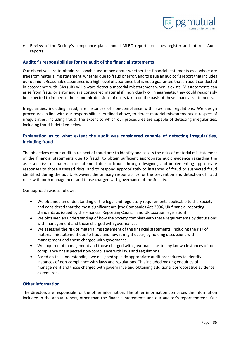

• Review of the Society's compliance plan, annual MLRO report, breaches register and Internal Audit reports.

## <span id="page-35-0"></span>**Auditor's responsibilities for the audit of the financial statements**

Our objectives are to obtain reasonable assurance about whether the financial statements as a whole are free from material misstatement, whether due to fraud or error, and to issue an auditor's report that includes our opinion. Reasonable assurance is a high level of assurance but is not a guarantee that an audit conducted in accordance with ISAs (UK) will always detect a material misstatement when it exists. Misstatements can arise from fraud or error and are considered material if, individually or in aggregate, they could reasonably be expected to influence the economic decisions of users taken on the basis of these financial statements.

Irregularities, including fraud, are instances of non-compliance with laws and regulations. We design procedures in line with our responsibilities, outlined above, to detect material misstatements in respect of irregularities, including fraud. The extent to which our procedures are capable of detecting irregularities, including fraud is detailed below.

# <span id="page-35-1"></span>**Explanation as to what extent the audit was considered capable of detecting irregularities, including fraud**

The objectives of our audit in respect of fraud are: to identify and assess the risks of material misstatement of the financial statements due to fraud; to obtain sufficient appropriate audit evidence regarding the assessed risks of material misstatement due to fraud, through designing and implementing appropriate responses to those assessed risks; and to respond appropriately to instances of fraud or suspected fraud identified during the audit. However, the primary responsibility for the prevention and detection of fraud rests with both management and those charged with governance of the Society.

Our approach was as follows:

- We obtained an understanding of the legal and regulatory requirements applicable to the Society and considered that the most significant are [the Companies Act 2006, UK financial reporting standards as issued by the Financial Reporting Council, and UK taxation legislation]
- We obtained an understanding of how the Society complies with these requirements by discussions with management and those charged with governance.
- We assessed the risk of material misstatement of the financial statements, including the risk of material misstatement due to fraud and how it might occur, by holding discussions with management and those charged with governance.
- We inquired of management and those charged with governance as to any known instances of noncompliance or suspected non-compliance with laws and regulations.
- Based on this understanding, we designed specific appropriate audit procedures to identify instances of non-compliance with laws and regulations. This included making enquiries of management and those charged with governance and obtaining additional corroborative evidence as required.

## <span id="page-35-2"></span>**Other information**

The directors are responsible for the other information. The other information comprises the information included in the annual report, other than the financial statements and our auditor's report thereon. Our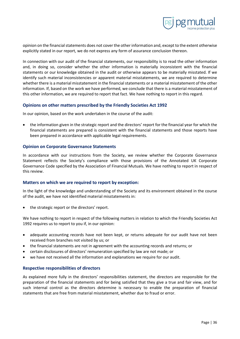

opinion on the financial statements does not cover the other information and, except to the extent otherwise explicitly stated in our report, we do not express any form of assurance conclusion thereon.

In connection with our audit of the financial statements, our responsibility is to read the other information and, in doing so, consider whether the other information is materially inconsistent with the financial statements or our knowledge obtained in the audit or otherwise appears to be materially misstated. If we identify such material inconsistencies or apparent material misstatements, we are required to determine whether there is a material misstatement in the financial statements or a material misstatement of the other information. If, based on the work we have performed, we conclude that there is a material misstatement of this other information, we are required to report that fact. We have nothing to report in this regard.

## <span id="page-36-0"></span>**Opinions on other matters prescribed by the Friendly Societies Act 1992**

In our opinion, based on the work undertaken in the course of the audit:

• the information given in the strategic report and the directors' report for the financial year for which the financial statements are prepared is consistent with the financial statements and those reports have been prepared in accordance with applicable legal requirements.

## <span id="page-36-1"></span>**Opinion on Corporate Governance Statements**

In accordance with our instructions from the Society, we review whether the Corporate Governance Statement reflects the Society's compliance with those provisions of the Annotated UK Corporate Governance Code specified by the Association of Financial Mutuals. We have nothing to report in respect of this review.

## <span id="page-36-2"></span>**Matters on which we are required to report by exception:**

In the light of the knowledge and understanding of the Society and its environment obtained in the course of the audit, we have not identified material misstatements in:

the strategic report or the directors' report.

We have nothing to report in respect of the following matters in relation to which the Friendly Societies Act 1992 requires us to report to you if, in our opinion:

- adequate accounting records have not been kept, or returns adequate for our audit have not been received from branches not visited by us; or
- the financial statements are not in agreement with the accounting records and returns; or
- certain disclosures of directors' remuneration specified by law are not made; or
- we have not received all the information and explanations we require for our audit.

## <span id="page-36-3"></span>**Respective responsibilities of directors**

As explained more fully in the directors' responsibilities statement, the directors are responsible for the preparation of the financial statements and for being satisfied that they give a true and fair view, and for such internal control as the directors determine is necessary to enable the preparation of financial statements that are free from material misstatement, whether due to fraud or error.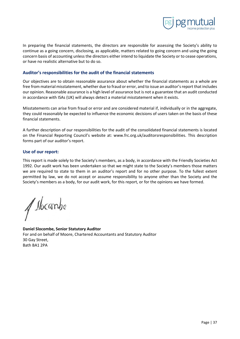

In preparing the financial statements, the directors are responsible for assessing the Society's ability to continue as a going concern, disclosing, as applicable, matters related to going concern and using the going concern basis of accounting unless the directors either intend to liquidate the Society or to cease operations, or have no realistic alternative but to do so.

## <span id="page-37-0"></span>**Auditor's responsibilities for the audit of the financial statements**

Our objectives are to obtain reasonable assurance about whether the financial statements as a whole are free from material misstatement, whether due to fraud or error, and to issue an auditor's report that includes our opinion. Reasonable assurance is a high level of assurance but is not a guarantee that an audit conducted in accordance with ISAs (UK) will always detect a material misstatement when it exists.

Misstatements can arise from fraud or error and are considered material if, individually or in the aggregate, they could reasonably be expected to influence the economic decisions of users taken on the basis of these financial statements.

A further description of our responsibilities for the audit of the consolidated financial statements is located on the Financial Reporting Council's website at: www.frc.org.uk/auditorsresponsibilities. This description forms part of our auditor's report.

## <span id="page-37-1"></span>**Use of our report:**

This report is made solely to the Society's members, as a body, in accordance with the Friendly Societies Act 1992. Our audit work has been undertaken so that we might state to the Society's members those matters we are required to state to them in an auditor's report and for no other purpose. To the fullest extent permitted by law, we do not accept or assume responsibility to anyone other than the Society and the Society's members as a body, for our audit work, for this report, or for the opinions we have formed.

/ slocanbe

**Daniel Slocombe, Senior Statutory Auditor** For and on behalf of Moore, Chartered Accountants and Statutory Auditor 30 Gay Street, Bath BA1 2PA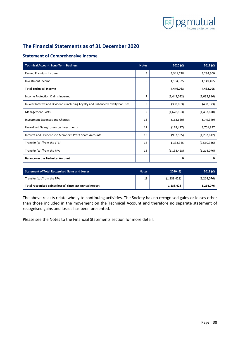

# <span id="page-38-0"></span>**The Financial Statements as of 31 December 2020**

# <span id="page-38-1"></span>**Statement of Comprehensive Income**

| <b>Technical Account: Long-Term Business</b>                                    | <b>Notes</b> | 2020(f)       | 2019(f)       |
|---------------------------------------------------------------------------------|--------------|---------------|---------------|
| <b>Earned Premium Income</b>                                                    | 5            | 3,341,728     | 3,284,300     |
| Investment Income                                                               | 6            | 1,104,335     | 1,149,495     |
| <b>Total Technical Income</b>                                                   |              | 4,446,063     | 4,433,795     |
| Income Protection Claims Incurred                                               | 7            | (1,443,032)   | (1,032,816)   |
| In-Year Interest and Dividends (including Loyalty and Enhanced Loyalty Bonuses) | 8            | (300, 063)    | (408, 373)    |
| <b>Management Costs</b>                                                         | 9            | (1,628,163)   | (1,487,870)   |
| Investment Expenses and Charges                                                 | 13           | (163, 660)    | (149, 349)    |
| Unrealised Gains/Losses on Investments                                          | 17           | (118, 477)    | 3,701,837     |
| Interest and Dividends to Members' Profit Share Accounts                        | 18           | (987, 585)    | (1, 282, 812) |
| Transfer (to)/from the LTBP                                                     | 18           | 1,333,345     | (2,560,336)   |
| Transfer (to)/from the FFA                                                      | 18           | (1, 138, 428) | (1, 214, 076) |
| <b>Balance on the Technical Account</b>                                         |              | 0             | 0             |

| <b>Statement of Total Recognised Gains and Losses</b>    | <b>Notes</b> | 2020(f)       | 2019(f)     |
|----------------------------------------------------------|--------------|---------------|-------------|
| Transfer (to)/from the FFA                               | 18           | (1, 138, 428) | (1,214,076) |
| Total recognised gains/(losses) since last Annual Report |              | 1,138,428     | 1,214,076   |

The above results relate wholly to continuing activities. The Society has no recognised gains or losses other than those included in the movement on the Technical Account and therefore no separate statement of recognised gains and losses has been presented.

Please see the Notes to the Financial Statements section for more detail.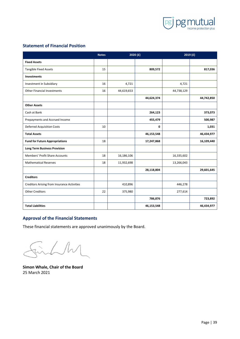

# <span id="page-39-0"></span>**Statement of Financial Position**

|                                                    | <b>Notes</b> |            | 2020(f)    | 2019(f)    |            |
|----------------------------------------------------|--------------|------------|------------|------------|------------|
| <b>Fixed Assets</b>                                |              |            |            |            |            |
| <b>Tangible Fixed Assets</b>                       | 15           |            | 809,572    |            | 817,036    |
| <b>Investments</b>                                 |              |            |            |            |            |
| Investment in Subsidiary                           | 16           | 4,721      |            | 4,721      |            |
| <b>Other Financial Investments</b>                 | 16           | 44,619,653 |            | 44,738,129 |            |
|                                                    |              |            | 44,624,374 |            | 44,742,850 |
| <b>Other Assets</b>                                |              |            |            |            |            |
| Cash at Bank                                       |              |            | 264,123    |            | 373,073    |
| Prepayments and Accrued Income                     |              |            | 455,479    |            | 500,987    |
| <b>Deferred Acquisition Costs</b>                  | 10           |            | 0          |            | 1,031      |
| <b>Total Assets</b>                                |              |            | 46,153,548 |            | 46,434,977 |
| <b>Fund for Future Appropriations</b>              | 18           |            | 17,247,868 |            | 16,109,440 |
| <b>Long Term Business Provision</b>                |              |            |            |            |            |
| Members' Profit Share Accounts                     | 18           | 16,186,106 |            | 16,335,602 |            |
| <b>Mathematical Reserves</b>                       | 18           | 11,932,698 |            | 13,266,043 |            |
|                                                    |              |            | 28,118,804 |            | 29,601,645 |
| <b>Creditors</b>                                   |              |            |            |            |            |
| <b>Creditors Arising from Insurance Activities</b> |              | 410,896    |            | 446,278    |            |
| <b>Other Creditors</b>                             | 22           | 375,980    |            | 277,614    |            |
|                                                    |              |            | 786,876    |            | 723,892    |
| <b>Total Liabilities</b>                           |              |            | 46,153,548 |            | 46,434,977 |

# <span id="page-39-1"></span>**Approval of the Financial Statements**

These financial statements are approved unanimously by the Board.

 $\sqrt{\hbar}$ 

**Simon Whale, Chair of the Board** 25 March 2021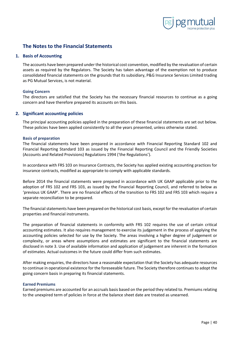

# <span id="page-40-0"></span>**The Notes to the Financial Statements**

#### <span id="page-40-1"></span>**1. Basis of Accounting**

The accounts have been prepared under the historical cost convention, modified by the revaluation of certain assets as required by the Regulators. The Society has taken advantage of the exemption not to produce consolidated financial statements on the grounds that its subsidiary, P&G Insurance Services Limited trading as PG Mutual Services, is not material.

#### <span id="page-40-2"></span>**Going Concern**

The directors are satisfied that the Society has the necessary financial resources to continue as a going concern and have therefore prepared its accounts on this basis.

## <span id="page-40-3"></span>**2. Significant accounting policies**

The principal accounting policies applied in the preparation of these financial statements are set out below. These policies have been applied consistently to all the years presented, unless otherwise stated.

#### <span id="page-40-4"></span>**Basis of preparation**

The financial statements have been prepared in accordance with Financial Reporting Standard 102 and Financial Reporting Standard 103 as issued by the Financial Reporting Council and the Friendly Societies (Accounts and Related Provisions) Regulations 1994 ('the Regulations').

In accordance with FRS 103 on Insurance Contracts, the Society has applied existing accounting practices for insurance contracts, modified as appropriate to comply with applicable standards.

Before 2014 the financial statements were prepared in accordance with UK GAAP applicable prior to the adoption of FRS 102 and FRS 103, as issued by the Financial Reporting Council, and referred to below as 'previous UK GAAP'. There are no financial effects of the transition to FRS 102 and FRS 103 which require a separate reconciliation to be prepared.

The financial statements have been prepared on the historical cost basis, except for the revaluation of certain properties and financial instruments.

The preparation of financial statements in conformity with FRS 102 requires the use of certain critical accounting estimates. It also requires management to exercise its judgement in the process of applying the accounting policies selected for use by the Society. The areas involving a higher degree of judgement or complexity, or areas where assumptions and estimates are significant to the financial statements are disclosed in note 3. Use of available information and application of judgement are inherent in the formation of estimates. Actual outcomes in the future could differ from such estimates.

After making enquiries, the directors have a reasonable expectation that the Society has adequate resources to continue in operational existence for the foreseeable future. The Society therefore continues to adopt the going concern basis in preparing its financial statements.

#### <span id="page-40-5"></span>**Earned Premiums**

Earned premiums are accounted for an accruals basis based on the period they related to. Premiums relating to the unexpired term of policies in force at the balance sheet date are treated as unearned.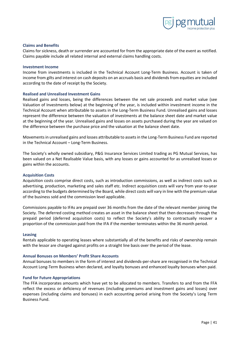

#### <span id="page-41-0"></span>**Claims and Benefits**

Claims for sickness, death or surrender are accounted for from the appropriate date of the event as notified. Claims payable include all related internal and external claims handling costs.

#### <span id="page-41-1"></span>**Investment Income**

Income from investments is included in the Technical Account Long-Term Business. Account is taken of income from gilts and interest on cash deposits on an accruals basis and dividends from equities are included according to the date of receipt by the Society.

#### <span id="page-41-2"></span>**Realised and Unrealised Investment Gains**

Realised gains and losses, being the differences between the net sale proceeds and market value (see Valuation of Investments below) at the beginning of the year, is included within investment income in the Technical Account when attributable to assets in the Long-Term Business Fund. Unrealised gains and losses represent the difference between the valuation of investments at the balance sheet date and market value at the beginning of the year. Unrealised gains and losses on assets purchased during the year are valued on the difference between the purchase price and the valuation at the balance sheet date.

Movements in unrealised gains and losses attributable to assets in the Long-Term Business Fund are reported in the Technical Account – Long-Term Business.

The Society's wholly owned subsidiary, P&G Insurance Services Limited trading as PG Mutual Services, has been valued on a Net Realisable Value basis, with any losses or gains accounted for as unrealised losses or gains within the accounts.

#### <span id="page-41-3"></span>**Acquisition Costs**

Acquisition costs comprise direct costs, such as introduction commissions, as well as indirect costs such as advertising, production, marketing and sales staff etc. Indirect acquisition costs will vary from year-to-year according to the budgets determined by the Board, while direct costs will vary in line with the premium value of the business sold and the commission level applicable.

Commissions payable to IFAs are prepaid over 36 months from the date of the relevant member joining the Society. The deferred costing method creates an asset in the balance sheet that then decreases through the prepaid period (deferred acquisition costs) to reflect the Society's ability to contractually recover a proportion of the commission paid from the IFA if the member terminates within the 36 month period.

#### <span id="page-41-4"></span>**Leasing**

Rentals applicable to operating leases where substantially all of the benefits and risks of ownership remain with the lessor are charged against profits on a straight line basis over the period of the lease.

#### <span id="page-41-5"></span>**Annual Bonuses on Members' Profit Share Accounts**

Annual bonuses to members in the form of interest and dividends-per-share are recognised in the Technical Account Long-Term Business when declared, and loyalty bonuses and enhanced loyalty bonuses when paid.

#### <span id="page-41-6"></span>**Fund for Future Appropriations**

The FFA incorporates amounts which have yet to be allocated to members. Transfers to and from the FFA reflect the excess or deficiency of revenues (including premiums and investment gains and losses) over expenses (including claims and bonuses) in each accounting period arising from the Society's Long Term Business Fund.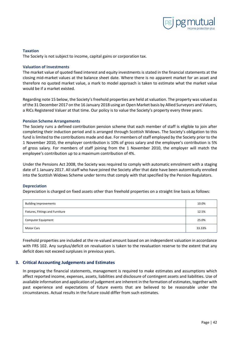

#### <span id="page-42-0"></span>**Taxation**

The Society is not subject to income, capital gains or corporation tax.

#### <span id="page-42-1"></span>**Valuation of Investments**

The market value of quoted fixed interest and equity investments is stated in the financial statements at the closing mid-market values at the balance sheet date. Where there is no apparent market for an asset and therefore no quoted market value, a mark to model approach is taken to estimate what the market value would be if a market existed.

Regarding note 15 below, the Society's freehold properties are held at valuation. The property was valued as of the 31 December 2017 on the 16 January 2018 using an Open Market basis by Allied Surveyors and Valuers, a RICs Registered Valuer at that time. Our policy is to value the Society's property every three years.

#### <span id="page-42-2"></span>**Pension Scheme Arrangements**

The Society runs a defined contribution pension scheme that each member of staff is eligible to join after completing their induction period and is arranged through Scottish Widows. The Society's obligation to this fund is limited to the contributions made and due. For members of staff employed by the Society prior to the 1 November 2010, the employer contribution is 10% of gross salary and the employee's contribution is 5% of gross salary. For members of staff joining from the 1 November 2010, the employer will match the employee's contribution up to a maximum contribution of 4%.

Under the Pensions Act 2008, the Society was required to comply with automatic emrolment with a staging date of 1 January 2017. All staff who have joined the Society after that date have been automtically enrolled into the Scottish Widows Scheme under terms that comply with that specified by the Pension Regulators.

#### <span id="page-42-3"></span>**Depreciation**

Depreciation is charged on fixed assets other than freehold properties on a straight line basis as follows:

| <b>Building Improvements</b>     | 10.0%  |
|----------------------------------|--------|
| Fixtures, Fittings and Furniture | 12.5%  |
| <b>Computer Equipment</b>        | 25.0%  |
| <b>Motor Cars</b>                | 33.33% |

Freehold properties are included at the re-valued amount based on an independent valuation in accordance with FRS 102. Any surplus/deficit on revaluation is taken to the revaluation reserve to the extent that any deficit does not exceed surpluses in previous years.

## <span id="page-42-4"></span>**3. Critical Accounting Judgements and Estimates**

In preparing the financial statements, management is required to make estimates and assumptions which affect reported income, expenses, assets, liabilities and disclosure of contingent assets and liabilities. Use of available information and application of judgement are inherent in the formation of estimates, together with past experience and expectations of future events that are believed to be reasonable under the circumstances. Actual results in the future could differ from such estimates.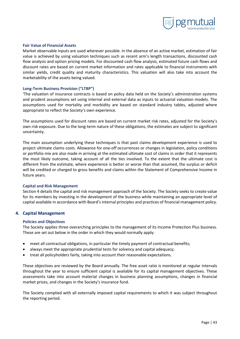

#### <span id="page-43-0"></span>**Fair Value of Financial Assets**

Market observable inputs are used wherever possible. In the absence of an active market, estimation of fair value is achieved by using valuation techniques such as recent arm's length transactions, discounted cash flow analysis and option pricing models. For discounted cash flow analysis, estimated future cash flows and discount rates are based on current market information and rates applicable to financial instruments with similar yields, credit quality and maturity characteristics. This valuation will also take into account the marketability of the assets being valued.

#### <span id="page-43-1"></span>**Long-Term Business Provision ("LTBP")**

'The valuation of insurance contracts is based on policy data held on the Society's administration systems and prudent assumptions set using internal and external data as inputs to actuarial valuation models. The assumptions used for mortality and morbidity are based on standard industry tables, adjusted where appropriate to reflect the Society's own experience.

The assumptions used for discount rates are based on current market risk rates, adjusted for the Society's own risk exposure. Due to the long-term nature of these obligations, the estimates are subject to significant uncertainty.

The main assumption underlying these techniques is that past claims development experience is used to project ultimate claims costs. Allowance for one-off occurrences or changes in legislation, policy conditions or portfolio mix are also made in arriving at the estimated ultimate cost of claims in order that it represents the most likely outcome, taking account of all the ties involved. To the extent that the ultimate cost is different from the estimate, where experience is better or worse than that assumed, the surplus or deficit will be credited or charged to gross benefits and claims within the Statement of Comprehensive Income in future years.

#### <span id="page-43-2"></span>**Capital and Risk Management**

Section 4 details the capital and risk management approach of the Society. The Society seeks to create value for its members by investing in the development of the business while maintaining an appropriate level of capital available in accordance with Board's internal principles and practices of financial management policy.

#### <span id="page-43-3"></span>**4. Capital Management**

#### <span id="page-43-4"></span>**Policies and Objectives**

The Society applies three overarching principles to the management of its Income Protection Plus business. These are set out below in the order in which they would normally apply:

- meet all contractual obligations, in particular the timely payment of contractual benefits;
- always meet the appropriate prudential tests for solvency and capital adequacy;
- treat all policyholders fairly, taking into account their reasonable expectations.

These objectives are reviewed by the Board annually. The free asset ratio is monitored at regular intervals throughout the year to ensure sufficient capital is available for its capital management objectives. These assessments take into account material changes in business planning assumptions, changes in financial market prices, and changes in the Society's insurance fund.

The Society complied with all externally imposed capital requirements to which it was subject throughout the reporting period.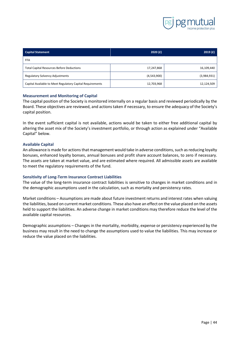

| <b>Capital Statement</b>                                  | 2020(f)     | 2019(f)     |
|-----------------------------------------------------------|-------------|-------------|
| <b>FFA</b>                                                |             |             |
| <b>Total Capital Resources Before Deductions</b>          | 17,247,868  | 16,109,440  |
| <b>Regulatory Solvency Adjustments</b>                    | (4,543,900) | (3,984,931) |
| Capital Available to Meet Regulatory Capital Requirements | 12,703,968  | 12,124,509  |

#### <span id="page-44-0"></span>**Measurement and Monitoring of Capital**

The capital position of the Society is monitored internally on a regular basis and reviewed periodically by the Board. These objectives are reviewed, and actions taken if necessary, to ensure the adequacy of the Society's capital position.

In the event sufficient capital is not available, actions would be taken to either free additional capital by altering the asset mix of the Society's investment portfolio, or through action as explained under "Available Capital" below.

#### <span id="page-44-1"></span>**Available Capital**

An allowance is made for actions that management would take in adverse conditions, such as reducing loyalty bonuses, enhanced loyalty bonses, annual bonuses and profit share account balances, to zero if necessary. The assets are taken at market value, and are estimated where required. All admissible assets are available to meet the regulatory requirements of the fund.

#### <span id="page-44-2"></span>**Sensitivity of Long-Term Insurance Contract Liabilities**

The value of the long-term insurance contract liabilities is sensitive to changes in market conditions and in the demographic assumptions used in the calculation, such as mortality and persistency rates.

Market conditions – Assumptions are made about future investment returns and interest rates when valuing the liabilities, based on current market conditions. These also have an effect on the value placed on the assets held to support the liabilities. An adverse change in market conditions may therefore reduce the level of the available capital resources.

Demographic assumptions – Changes in the mortality, morbidity, expense or persistency experienced by the business may result in the need to change the assumptions used to value the liabilities. This may increase or reduce the value placed on the liabilities.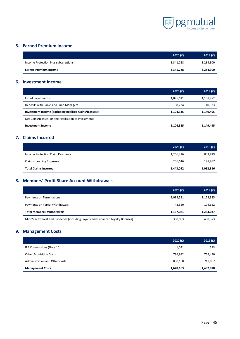

# <span id="page-45-0"></span>**5. Earned Premium Income**

|                                      | 2020(f)   | 2019(f)   |
|--------------------------------------|-----------|-----------|
| Income Protection Plus subscriptions | 3,341,728 | 3,284,300 |
| <b>Earned Premium Income</b>         | 3,341,728 | 3,284,300 |

# <span id="page-45-1"></span>**6. Investment Income**

|                                                       | 2020(f)   | 2019(f)   |
|-------------------------------------------------------|-----------|-----------|
| Listed Investments                                    | 1,095,611 | 1,138,972 |
| Deposits with Banks and Fund Managers                 | 8,724     | 10,523    |
| Investment Income (excluding Realised Gains/(Losses)) | 1,104,335 | 1,149,495 |
| Net Gains/(Losses) on the Realisation of Investments  |           |           |
| <b>Investment Income</b>                              | 1,104,335 | 1,149,495 |

# <span id="page-45-2"></span>**7. Claims Incurred**

|                                  | 2020(f)   | 2019(f)   |
|----------------------------------|-----------|-----------|
| Income Protection Claim Payments | 1,206,416 | 833,829   |
| <b>Claims Handling Expenses</b>  | 236,616   | 198,987   |
| <b>Total Claims Incurred</b>     | 1,443,032 | 1,032,816 |

# <span id="page-45-3"></span>**8. Members' Profit Share Account Withdrawals**

|                                                                                  | 2020(f)   | 2019(f)   |
|----------------------------------------------------------------------------------|-----------|-----------|
| Payments on Terminations                                                         | 1,088,531 | 1,128,385 |
| Payments on Partial Withdrawals                                                  | 48,550    | 104,652   |
| <b>Total Members' Withdrawals</b>                                                | 1,137,081 | 1,233,037 |
| Mid-Year Interest and Dividends (including Loyalty and Enhanced Loyalty Bonuses) | 300,063   | 408,373   |

# <span id="page-45-4"></span>**9. Management Costs**

|                                       | 2020(f)   | 2019(f)   |
|---------------------------------------|-----------|-----------|
| IFA Commissions (Note 10)             | 1,031     | 583       |
| <b>Other Acquisition Costs</b>        | 796,982   | 769,430   |
| <b>Administration and Other Costs</b> | 830,150   | 717,857   |
| <b>Management Costs</b>               | 1,628,163 | 1,487,870 |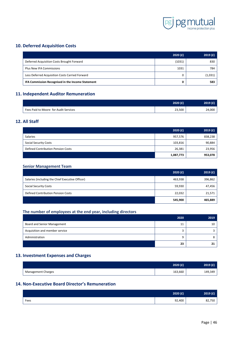

# <span id="page-46-0"></span>**10. Deferred Acquisition Costs**

|                                                   | 2020(f) | 2019(f) |
|---------------------------------------------------|---------|---------|
| Deferred Acquisition Costs Brought Forward        | (1031)  | 830     |
| <b>Plus New IFA Commissions</b>                   | 1031    | 784     |
| Less Deferred Acquisition Costs Carried Forward   |         | (1,031) |
| IFA Commission Recognised in the Income Statement |         | 583     |

# <span id="page-46-1"></span>**11. Independent Auditor Remuneration**

|                                       | 2020(f) | 2019(f) |
|---------------------------------------|---------|---------|
| Fees Paid to Moore for Audit Services | 23,500  | 24,000  |

# <span id="page-46-2"></span>**12. All Staff**

|                                    | 2020(f)   | 2019(f) |
|------------------------------------|-----------|---------|
| <b>Salaries</b>                    | 957,576   | 838,238 |
| <b>Social Security Costs</b>       | 103,816   | 90,884  |
| Defined Contribution Pension Costs | 26,381    | 23,956  |
|                                    | 1,087,773 | 953,078 |

#### <span id="page-46-3"></span>**Senior Management Team**

|                                                  | 2020(f) | 2019(f) |
|--------------------------------------------------|---------|---------|
| Salaries (including the Chief Executive Officer) | 463,938 | 396,862 |
| <b>Social Security Costs</b>                     | 59,930  | 47,456  |
| <b>Defined Contribution Pension Costs</b>        | 22,032  | 21,571  |
|                                                  | 545,900 | 465,889 |

#### <span id="page-46-4"></span>**The number of employees at the end year, including directors**

|                                | 2020 | 2019 |
|--------------------------------|------|------|
| Board and Senior Management    | 11   | 10   |
| Acquisition and member service |      |      |
| Administration                 |      |      |
|                                | 23   |      |

# <span id="page-46-5"></span>**13. Investment Expenses and Charges**

|                           | 2020(f) | 2019 (£) |
|---------------------------|---------|----------|
| <b>Management Charges</b> | 163,660 | 149,349  |

# <span id="page-46-6"></span>**14. Non-Executive Board Director's Remuneration**

|      | 2020 (£) | 2019(f) |
|------|----------|---------|
| Fees | 92,400   | 82,750  |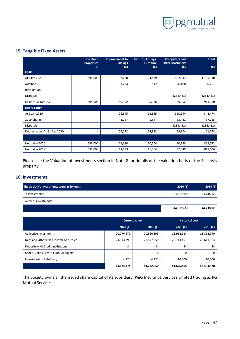

# <span id="page-47-0"></span>**15. Tangible Fixed Assets**

|                              | Freehold<br><b>Properties</b><br>(E) | Improvement to<br><b>Buildings</b><br>(f) | Fixtures, Fittings,<br><b>Furniture</b><br>(f) | <b>Computers and</b><br><b>Office Machinery</b><br>(f) | <b>Total</b><br>(E) |
|------------------------------|--------------------------------------|-------------------------------------------|------------------------------------------------|--------------------------------------------------------|---------------------|
| Cost:                        |                                      |                                           |                                                |                                                        |                     |
| At 1 Jan 2020                | 695,000                              | 37,728                                    | 24,839                                         | 407,943                                                | 1,165,510           |
| Additions                    |                                      | 3,224                                     | 547                                            | 26,480                                                 | 30,251              |
| Revaluation                  |                                      | $\overline{\phantom{a}}$                  | $\overline{\phantom{a}}$                       | $\qquad \qquad \blacksquare$                           |                     |
| <b>Disposals</b>             | $\overline{\phantom{a}}$             | $\overline{\phantom{a}}$                  | $\overline{\phantom{a}}$                       | (284, 431)                                             | (284, 431)          |
| Cost: At 31 Dec 2020         | 695,000                              | 40,952                                    | 25,386                                         | 149,992                                                | 911,330             |
| Depreciation:                |                                      |                                           |                                                |                                                        |                     |
| At 1 Jan 2020                | $\overline{\phantom{a}}$             | 24,545                                    | 13,335                                         | 310,594                                                | 348,474             |
| 2019 Charge                  |                                      | 2,727                                     | 1,547                                          | 33,441                                                 | 37,715              |
| <b>Disposals</b>             |                                      | $\overline{\phantom{a}}$                  |                                                | (284, 431)                                             | (284, 431)          |
| Depreciation: As 31 Dec 2020 | $\overline{\phantom{a}}$             | 27,272                                    | 14,882                                         | 59,604                                                 | 101,758             |
|                              |                                      |                                           |                                                |                                                        |                     |
| Net Value 2020               | 695,000                              | 13,680                                    | 10,504                                         | 90,388                                                 | 809,572             |
| Net Value 2019               | 695,000                              | 13,183                                    | 11,504                                         | 97,349                                                 | 817,036             |

Please see the Valuation of Investments section in Note 2 for details of the valuation basis of the Society's property.

# <span id="page-47-1"></span>**16. Investments**

| The Society's investments were as follows: | 2020(f)    | 2019(f)    |
|--------------------------------------------|------------|------------|
| UK investments                             | 44,619,653 | 44,738,129 |
| lOverseas investments                      |            |            |
|                                            | 44,619,653 | 44,738,129 |

|                                        | <b>Current value</b> |            | <b>Historical cost</b> |            |
|----------------------------------------|----------------------|------------|------------------------|------------|
|                                        | 2020(f)              | 2019(f)    | 2020(f)                | 2019(f)    |
| Collective Investments                 | 20,076,170           | 20,860,395 | 18,952,914             | 18,862,940 |
| Debt and Other Fixed Income Securities | 24,543,399           | 23,877,650 | 22,713,457             | 23,611,504 |
| Deposits with Credit Institutions      | 84                   | 84         | 84                     | 84         |
| Other (Deposits with Fund Managers)    | 0                    | 0          | $\Omega$               | 0          |
| Investment in Subsidiary               | 4,721                | 4,721      | 10,000                 | 10,000     |
|                                        | 44,624,374           | 44,742,850 | 41,676,455             | 42,484,528 |

The Society owns all the issued share capital of its subsidiary, P&G Insurance Services Limited trading as PG Mutual Services.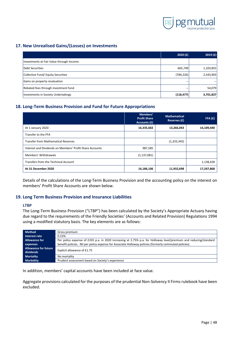

# <span id="page-48-0"></span>**17. New Unrealised Gains/(Losses) on Investments**

|                                           | 2020(f)    | 2019(f)   |
|-------------------------------------------|------------|-----------|
| Investments at Fair Value through Income: |            |           |
| Debt Securities                           | 665,749    | 1,103,855 |
| Collective Fund/ Equity Securities        | (784, 226) | 2,543,903 |
| Gains on property revaluation             |            |           |
| Rebated fees through investment fund      |            | 54,079    |
| Investments in Society Undertakings       | (118, 477) | 3,701,837 |

# <span id="page-48-1"></span>**18. Long-Term Business Provision and Fund for Future Appropriations**

|                                                          | Members'<br><b>Profit Share</b><br>Accounts (£) | <b>Mathematical</b><br>Reserves (£) | FFA(E)     |
|----------------------------------------------------------|-------------------------------------------------|-------------------------------------|------------|
| At 1 January 2020                                        | 16,335,602                                      | 13,266,043                          | 16,109,440 |
| Transfer to the FFA                                      |                                                 |                                     |            |
| <b>Transfer from Mathematical Reserves</b>               |                                                 | (1,333,345)                         |            |
| Interest and Dividends on Members' Profit Share Accounts | 987,585                                         |                                     |            |
| Members' Withdrawals                                     | (1, 137, 081)                                   |                                     |            |
| Transfers from the Technical Account                     |                                                 |                                     | 1,138,428  |
| At 31 December 2020                                      | 16,186,106                                      | 11,932,698                          | 17,247,868 |

Details of the calculations of the Long-Term Business Provision and the accounting policy on the interest on members' Profit Share Accounts are shown below.

#### <span id="page-48-2"></span>**19. Long Term Business Provision and Insurance Liabilities**

#### <span id="page-48-3"></span>**LTBP**

The Long-Term Business Provision ("LTBP") has been calculated by the Society's Appropriate Actuary having due regard to the requirements of the Friendly Societies' (Accounts and Related Provision) Regulations 1994 using a modified statutory basis. The key elements are as follows:

| <b>Method</b>               | Gross premium                                                                                                     |  |
|-----------------------------|-------------------------------------------------------------------------------------------------------------------|--|
| Interest rate               | 0.15%                                                                                                             |  |
| <b>Allowance for</b>        | Per policy expense of £335 p.a. in 2020 increasing at 2.75% p.a. for Holloway level/premium and reducing/standard |  |
| expenses                    | benefit policies. Nil per policy expense for Associate Holloway policies (formerly commuted policies).            |  |
| <b>Allowance for future</b> | Explicit allowance of £1.75                                                                                       |  |
| dividends                   |                                                                                                                   |  |
| <b>Mortality</b>            | No mortality                                                                                                      |  |
| <b>Morbidity</b>            | Prudent assessment based on Society's experience                                                                  |  |

In addition, members' capital accounts have been included at face value.

Aggregate provisions calculated for the purposes of the prudential Non-Solvency II Firms rulebook have been excluded.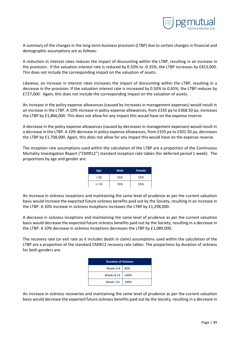

A summary of the changes in the long-term business provision (LTBP) due to certain changes in financial and demographic assumptions are as follows:

A reduction in interest rates reduces the impact of discounting within the LTBP, resulting in an increase in the provision. If the valuation interest rate is reduced by 0.50% to -0.35%, the LTBP increases by £813,000. This does not include the corresponding impact on the valuation of assets.

Likewise, an increase in interest rates increases the impact of discounting within the LTBP, resulting in a decrease in the provision. If the valuation interest rate is increased by 0.50% to 0.65%, the LTBP reduces by £727,000. Again, this does not include the corresponding impact on the valuation of assets.

An increase in the policy expense allowances (caused by increases in management expenses) would result in an increase in the LTBP. A 10% increase in policy expense allowances, from £335 pa to £368.50 pa, increases the LTBP by £1,866,000. This does not allow for any impact this would have on the expense reserve.

A decrease in the policy expense allowances (caused by decreases in management expenses) would result in a decrease in the LTBP. A 10% decrease in policy expense allowances, from £335 pa to £301.50 pa, decreases the LTBP by £1,708,000. Again, this does not allow for any impact this would have on the expense reserve.

The inception rate assumptions used within the calculation of the LTBP are a proportion of the Continuous Mortality Investigation Report ("CMIR12") standard inception rate tables (for deferred period 1 week). The proportions by age and gender are:

| Age     | <b>Male</b> | <b>Female</b> |
|---------|-------------|---------------|
| < 50    | 55%         | 55%           |
| $>= 50$ | 55%         | 55%           |

An increase in sickness inceptions and maintaining the same level of prudence as per the current valuation basis would increase the expected future sickness benefits paid out by the Society, resulting in an increase in the LTBP. A 10% increase in sickness inceptions increases the LTBP by £1,298,000.

A decrease in sickness inceptions and maintaining the same level of prudence as per the current valuation basis would decrease the expected future sickness benefits paid out by the Society, resulting in a decrease in the LTBP. A 10% decrease in sickness inceptions decreases the LTBP by £1,089,000.

The recovery rate (or exit rate as it includes death in claim) assumptions used within the calculation of the LTBP are a proportion of the standard CMIR12 recovery rate tables. The proportions by duration of sickness for both genders are:

| <b>Duration of Sickness</b> |      |  |
|-----------------------------|------|--|
| Weeks $0-8$                 | 80%  |  |
| Weeks 8-13                  | 100% |  |
| Weeks 13+                   | 140% |  |

An increase in sickness recoveries and maintaining the same level of prudence as per the current valuation basis would decrease the expected future sickness benefits paid out by the Society, resulting in a decrease in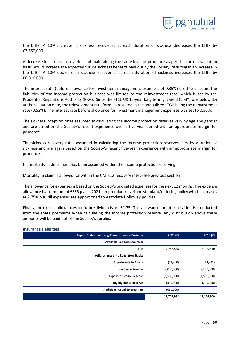

the LTBP. A 10% increase in sickness recoveries at each duration of sickness decreases the LTBP by £2,550,000.

A decrease in sickness recoveries and maintaining the same level of prudence as per the current valuation basis would increase the expected future sickness benefits paid out by the Society, resulting in an increase in the LTBP. A 10% decrease in sickness recoveries at each duration of sickness increases the LTBP by £6,016,000.

The interest rate (before allowance for investment management expenses of 0.35%) used to discount the liabilities of the income protection business was limited to the reinvestment rate, which is set by the Prudential Regulations Authority (PRA). Since the FTSE UK 15-year long term gilt yield (LTGY) was below 3% at the valuation date, the reinvestment rate formula resulted in the annualised LTGY being the reinvestment rate (0.53%). The interest rate before allowance for investment management expenses was set to 0.50%.

The sickness inception rates assumed in calculating the income protection reserves vary by age and gender and are based on the Society's recent experience over a five-year period with an appropriate margin for prudence.

The sickness recovery rates assumed in calculating the income protection reserves vary by duration of sickness and are again based on the Society's recent five-year experience with an appropriate margin for prudence.

Nil mortality in deferment has been assumed within the income protection reserving.

Mortality in claim is allowed for within the CMIR12 recovery rates (see previous section).

The allowance for expenses is based on the Society's budgeted expenses for the next 12 months. The expense allowance is an amount of £335 p.a. in 2021 per premium/level and standard/reducing policy which increases at 2.75% p.a. Nil expenses are apportioned to Associate Holloway policies.

Finally, the explicit allowances for future dividends are £1.75. This allowance for future dividends is deducted from the share premiums when calculating the income protection reserve. Any distribution above these amounts will be paid out of the Society's surplus.

| <b>Capital Statement: Long-Term Insurance Business</b> | 2020(f)     | 2019(f)       |
|--------------------------------------------------------|-------------|---------------|
| <b>Available Capital Resources:</b>                    |             |               |
| <b>FFA</b>                                             | 17,247,868  | 16,109,440    |
| <b>Adjustments onto Regulatory Basis:</b>              |             |               |
| Adjustments to Assets                                  | (13,900)    | (14, 931)     |
| <b>Resilience Reserve</b>                              | (2,050,000) | (2, 180, 000) |
| <b>Expenses Closure Reserve</b>                        | (1,500,000) | (1,500,000)   |
| <b>Loyalty Bonus Reserve</b>                           | (330,000)   | (290,000)     |
| <b>Additional Covid 19 provision</b>                   | (650,000)   |               |
|                                                        | 12,703,968  | 12,124,509    |

#### <span id="page-50-0"></span>**Insurance Liabilities**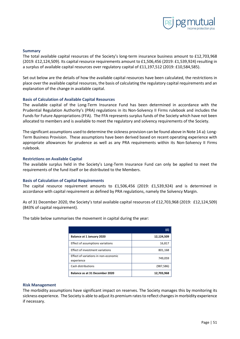

#### <span id="page-51-0"></span>**Summary**

The total available capital resources of the Society's long-term insurance business amount to £12,703,968 (2019: £12,124,509). Its capital resource requirements amount to £1,506,456 (2019: £1,539,924) resulting in a surplus of available capital resources over regulatory capital of £11,197,512 (2019: £10,584,585).

Set out below are the details of how the available capital resources have been calculated, the restrictions in place over the available capital resources, the basis of calculating the regulatory capital requirements and an explanation of the change in available capital.

#### <span id="page-51-1"></span>**Basis of Calculation of Available Capital Resources**

The available capital of the Long-Term Insurance Fund has been determined in accordance with the Prudential Regulation Authority's (PRA) regulations in its Non-Solvency II Firms rulebook and includes the Funds for Future Appropriations (FFA). The FFA represents surplus funds of the Society which have not been allocated to members and is available to meet the regulatory and solvency requirements of the Society.

The significant assumptions used to determine the sickness provision can be found above in Note 14 a): Long-Term Business Provision. These assumptions have been derived based on recent operating experience with appropriate allowances for prudence as well as any PRA requirements within its Non-Solvency II Firms rulebook.

#### <span id="page-51-2"></span>**Restrictions on Available Capital**

The available surplus held in the Society's Long-Term Insurance Fund can only be applied to meet the requirements of the fund itself or be distributed to the Members.

#### <span id="page-51-3"></span>**Basis of Calculation of Capital Requirements**

The capital resource requirement amounts to £1,506,456 (2019: £1,539,924) and is determined in accordance with capital requirement as defined by PRA regulations, namely the Solvency Margin.

As of 31 December 2020, the Society's total available capital resources of £12,703,968 (2019: £12,124,509) (843% of capital requirement).

The table below summarises the movement in capital during the year:

|                                                    | (E)        |
|----------------------------------------------------|------------|
| Balance at 1 January 2020                          | 12,124,509 |
| Effect of assumptions variations                   | 16,817     |
| Effect of investment variations                    | 801,168    |
| Effect of variations in non-economic<br>experience | 749,059    |
| Cash distributions                                 | (987, 586) |
| Balance as at 31 December 2020                     | 12,703,968 |

#### <span id="page-51-4"></span>**Risk Management**

The morbidity assumptions have significant impact on reserves. The Society manages this by monitoring its sickness experience. The Society is able to adjust its premium rates to reflect changes in morbidity experience if necessary.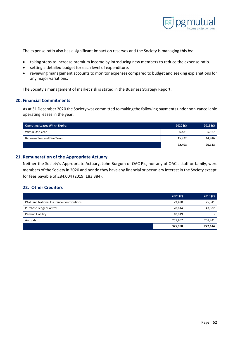

The expense ratio also has a significant impact on reserves and the Society is managing this by:

- taking steps to increase premium income by introducing new members to reduce the expense ratio.
- setting a detailed budget for each level of expenditure.
- reviewing management accounts to monitor expenses compared to budget and seeking explanations for any major variations.

The Society's management of market risk is stated in the Business Strategy Report.

## <span id="page-52-0"></span>**20. Financial Commitments**

As at 31 December 2020 the Society was committed to making the following payments under non-cancellable operating leases in the year.

| <b>Operating Leases Which Expire:</b> | 2020(f) | 2019(f) |
|---------------------------------------|---------|---------|
| Within One Year                       | 6,481   | 5,367   |
| Between Two and Five Years            | 15,922  | 14,746  |
|                                       | 22,403  | 20,113  |

# <span id="page-52-1"></span>**21. Remuneration of the Appropriate Actuary**

Neither the Society's Appropriate Actuary, John Burgum of OAC Plc, nor any of OAC's staff or family, were members of the Society in 2020 and nor do they have any financial or pecuniary interest in the Society except for fees payable of £84,004 (2019: £83,384).

## <span id="page-52-2"></span>**22. Other Creditors**

|                                                  | 2020(f) | 2019(f) |
|--------------------------------------------------|---------|---------|
| <b>PAYE and National Insurance Contributions</b> | 29,490  | 25,341  |
| Purchase Ledger Control                          | 78,614  | 43,832  |
| Pension Liability                                | 10,019  |         |
| Accruals                                         | 257,857 | 208,441 |
|                                                  | 375,980 | 277,614 |